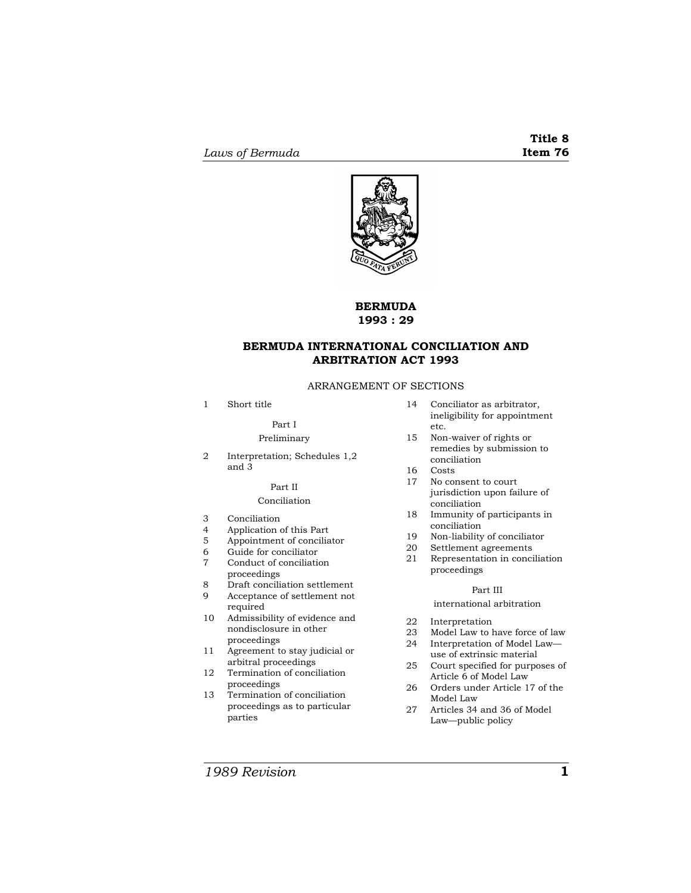

## **BERMUDA 1993 : 29**

## **BERMUDA INTERNATIONAL CONCILIATION AND ARBITRATION ACT 1993**

#### ARRANGEMENT OF SECTIONS

1 Short title

#### Part I

- Preliminary
- 2 Interpretation; Schedules 1,2 and 3

#### Part II

#### Conciliation

- 3 Conciliation
- 4 Application of this Part<br>5 Appointment of concilia
- 5 Appointment of conciliator
- 6 Guide for conciliator
- 7 Conduct of conciliation proceedings
- 8 Draft conciliation settlement<br>9 Acceptance of settlement not
- Acceptance of settlement not required
- 10 Admissibility of evidence and nondisclosure in other proceedings
- 11 Agreement to stay judicial or arbitral proceedings
- 12 Termination of conciliation proceedings
- 13 Termination of conciliation proceedings as to particular parties
- 14 Conciliator as arbitrator, ineligibility for appointment etc.
- 15 Non-waiver of rights or remedies by submission to conciliation
- 16 Costs
- 17 No consent to court jurisdiction upon failure of conciliation
- 18 Immunity of participants in conciliation
- 19 Non-liability of conciliator
- 20 Settlement agreements
- 21 Representation in conciliation proceedings

#### Part III

#### international arbitration

- 22 Interpretation
- 23 Model Law to have force of law
- 24 Interpretation of Model Law—
- use of extrinsic material
- 25 Court specified for purposes of Article 6 of Model Law
- 26 Orders under Article 17 of the Model Law
- 27 Articles 34 and 36 of Model Law—public policy

*1989 Revision* **1**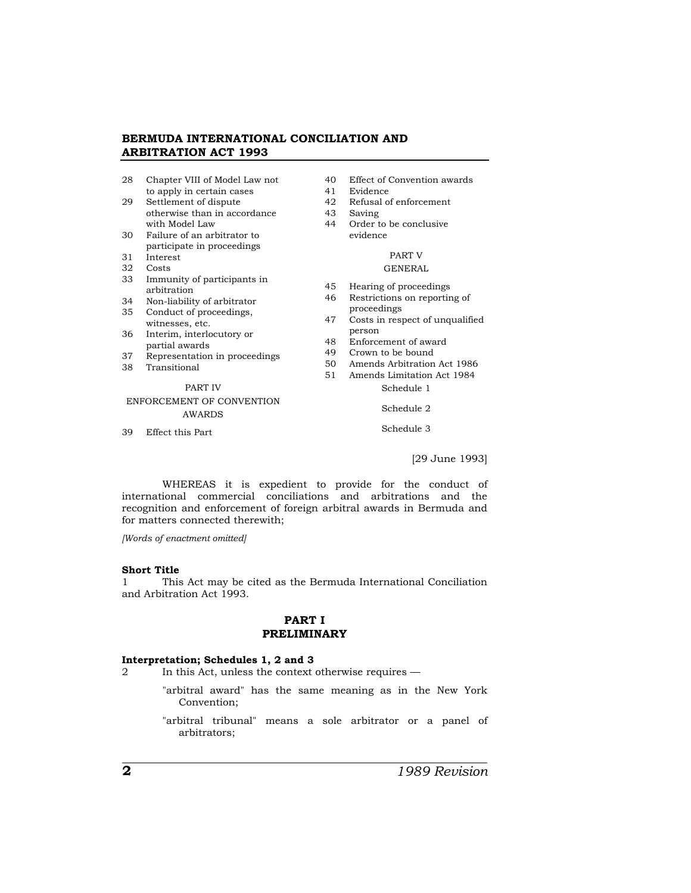| 28                               | Chapter VIII of Model Law not                                                                                                                                                                                           | 40                                      | Effect of Convention awards                                                                                                                                                                                                  |
|----------------------------------|-------------------------------------------------------------------------------------------------------------------------------------------------------------------------------------------------------------------------|-----------------------------------------|------------------------------------------------------------------------------------------------------------------------------------------------------------------------------------------------------------------------------|
|                                  | to apply in certain cases                                                                                                                                                                                               | 41                                      | Evidence                                                                                                                                                                                                                     |
| 29                               | Settlement of dispute                                                                                                                                                                                                   | 42                                      | Refusal of enforcement                                                                                                                                                                                                       |
|                                  | otherwise than in accordance                                                                                                                                                                                            | 43                                      | Saving                                                                                                                                                                                                                       |
|                                  | with Model Law                                                                                                                                                                                                          | 44                                      | Order to be conclusive                                                                                                                                                                                                       |
| 30                               | Failure of an arbitrator to                                                                                                                                                                                             |                                         | evidence                                                                                                                                                                                                                     |
|                                  | participate in proceedings                                                                                                                                                                                              |                                         |                                                                                                                                                                                                                              |
| 31                               | Interest                                                                                                                                                                                                                |                                         | PART V                                                                                                                                                                                                                       |
| 32                               | Costs                                                                                                                                                                                                                   |                                         | <b>GENERAL</b>                                                                                                                                                                                                               |
| 33<br>34<br>35<br>36<br>37<br>38 | Immunity of participants in<br>arbitration<br>Non-liability of arbitrator<br>Conduct of proceedings,<br>witnesses, etc.<br>Interim, interlocutory or<br>partial awards<br>Representation in proceedings<br>Transitional | 45<br>46<br>47<br>48.<br>49<br>50<br>51 | Hearing of proceedings<br>Restrictions on reporting of<br>proceedings<br>Costs in respect of unqualified<br>person<br>Enforcement of award<br>Crown to be bound<br>Amends Arbitration Act 1986<br>Amends Limitation Act 1984 |
|                                  | <b>PART IV</b><br>ENFORCEMENT OF CONVENTION<br>AWARDS                                                                                                                                                                   |                                         | Schedule 1<br>Schedule 2                                                                                                                                                                                                     |
| 39                               | Effect this Part                                                                                                                                                                                                        |                                         | Schedule 3                                                                                                                                                                                                                   |

[29 June 1993]

WHEREAS it is expedient to provide for the conduct of international commercial conciliations and arbitrations and the recognition and enforcement of foreign arbitral awards in Bermuda and for matters connected therewith;

*[Words of enactment omitted]* 

#### **Short Title**

1 This Act may be cited as the Bermuda International Conciliation and Arbitration Act 1993.

## **PART I PRELIMINARY**

# **Interpretation; Schedules 1, 2 and 3**

In this Act, unless the context otherwise requires —

- "arbitral award" has the same meaning as in the New York Convention;
- "arbitral tribunal" means a sole arbitrator or a panel of arbitrators;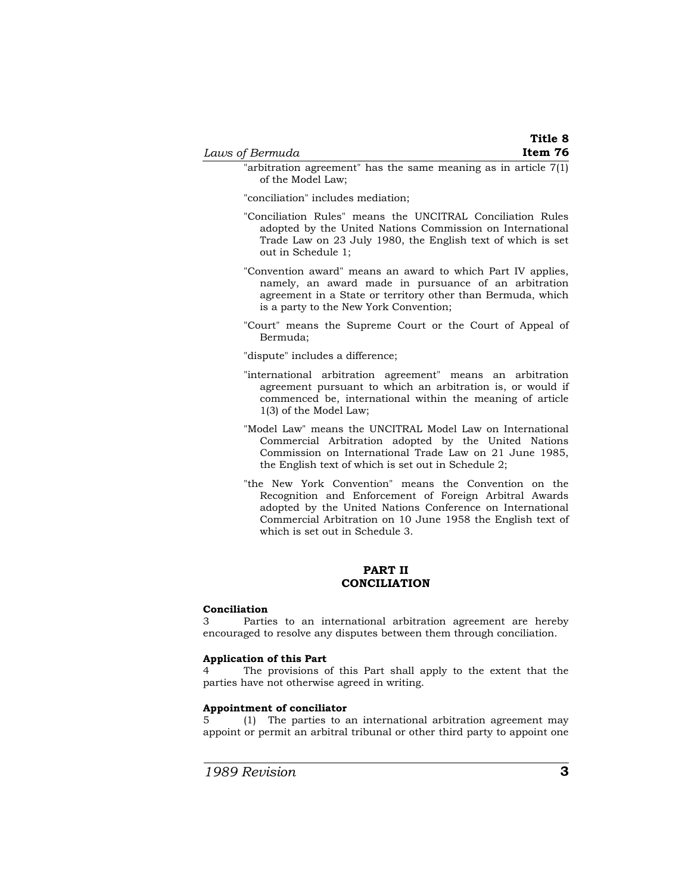"arbitration agreement" has the same meaning as in article  $7(1)$ of the Model Law;

"conciliation" includes mediation;

- "Conciliation Rules" means the UNCITRAL Conciliation Rules adopted by the United Nations Commission on International Trade Law on 23 July 1980, the English text of which is set out in Schedule 1;
- "Convention award" means an award to which Part IV applies, namely, an award made in pursuance of an arbitration agreement in a State or territory other than Bermuda, which is a party to the New York Convention;
- "Court" means the Supreme Court or the Court of Appeal of Bermuda;

"dispute" includes a difference;

- "international arbitration agreement" means an arbitration agreement pursuant to which an arbitration is, or would if commenced be, international within the meaning of article 1(3) of the Model Law;
- "Model Law" means the UNCITRAL Model Law on International Commercial Arbitration adopted by the United Nations Commission on International Trade Law on 21 June 1985, the English text of which is set out in Schedule 2;
- "the New York Convention" means the Convention on the Recognition and Enforcement of Foreign Arbitral Awards adopted by the United Nations Conference on International Commercial Arbitration on 10 June 1958 the English text of which is set out in Schedule 3.

## **PART II CONCILIATION**

#### **Conciliation**

3 Parties to an international arbitration agreement are hereby encouraged to resolve any disputes between them through conciliation.

## **Application of this Part**

The provisions of this Part shall apply to the extent that the parties have not otherwise agreed in writing.

## **Appointment of conciliator**

5 (1) The parties to an international arbitration agreement may appoint or permit an arbitral tribunal or other third party to appoint one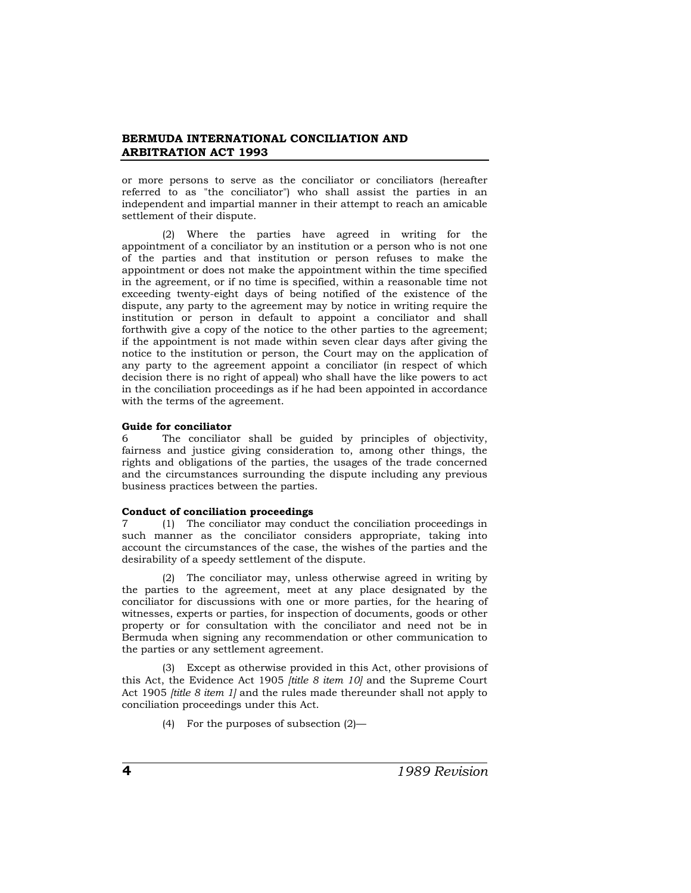or more persons to serve as the conciliator or conciliators (hereafter referred to as "the conciliator") who shall assist the parties in an independent and impartial manner in their attempt to reach an amicable settlement of their dispute.

 (2) Where the parties have agreed in writing for the appointment of a conciliator by an institution or a person who is not one of the parties and that institution or person refuses to make the appointment or does not make the appointment within the time specified in the agreement, or if no time is specified, within a reasonable time not exceeding twenty-eight days of being notified of the existence of the dispute, any party to the agreement may by notice in writing require the institution or person in default to appoint a conciliator and shall forthwith give a copy of the notice to the other parties to the agreement; if the appointment is not made within seven clear days after giving the notice to the institution or person, the Court may on the application of any party to the agreement appoint a conciliator (in respect of which decision there is no right of appeal) who shall have the like powers to act in the conciliation proceedings as if he had been appointed in accordance with the terms of the agreement.

## **Guide for conciliator**

6 The conciliator shall be guided by principles of objectivity, fairness and justice giving consideration to, among other things, the rights and obligations of the parties, the usages of the trade concerned and the circumstances surrounding the dispute including any previous business practices between the parties.

#### **Conduct of conciliation proceedings**

7 (1) The conciliator may conduct the conciliation proceedings in such manner as the conciliator considers appropriate, taking into account the circumstances of the case, the wishes of the parties and the desirability of a speedy settlement of the dispute.

(2) The conciliator may, unless otherwise agreed in writing by the parties to the agreement, meet at any place designated by the conciliator for discussions with one or more parties, for the hearing of witnesses, experts or parties, for inspection of documents, goods or other property or for consultation with the conciliator and need not be in Bermuda when signing any recommendation or other communication to the parties or any settlement agreement.

(3) Except as otherwise provided in this Act, other provisions of this Act, the Evidence Act 1905 *[title 8 item 10]* and the Supreme Court Act 1905 *[title 8 item 1]* and the rules made thereunder shall not apply to conciliation proceedings under this Act.

(4) For the purposes of subsection (2)—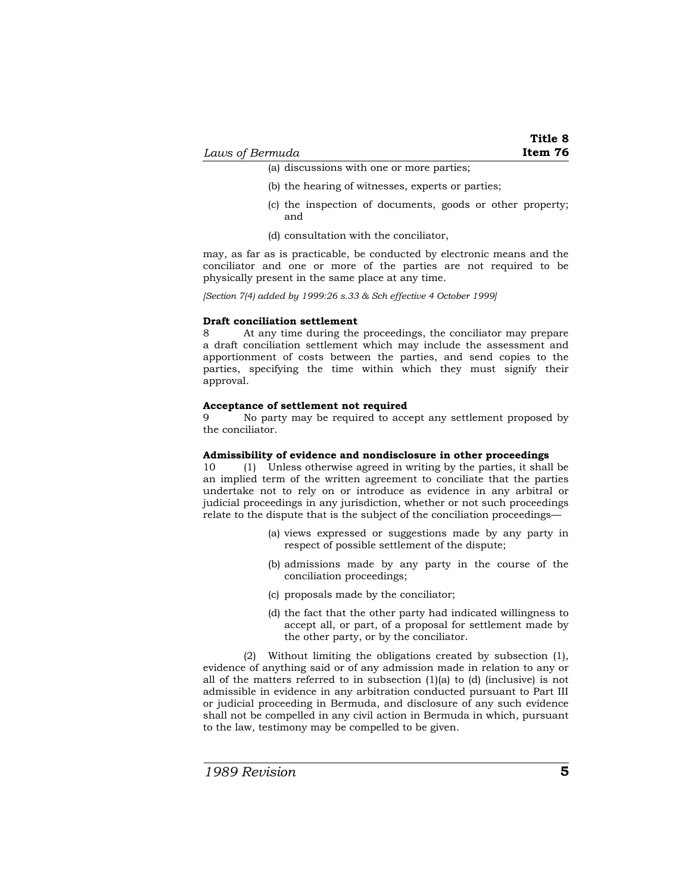- (a) discussions with one or more parties;
- (b) the hearing of witnesses, experts or parties;
- (c) the inspection of documents, goods or other property; and
- (d) consultation with the conciliator,

may, as far as is practicable, be conducted by electronic means and the conciliator and one or more of the parties are not required to be physically present in the same place at any time.

*[Section 7(4) added by 1999:26 s.33 & Sch effective 4 October 1999]* 

#### **Draft conciliation settlement**

At any time during the proceedings, the conciliator may prepare a draft conciliation settlement which may include the assessment and apportionment of costs between the parties, and send copies to the parties, specifying the time within which they must signify their approval.

## **Acceptance of settlement not required**

9 No party may be required to accept any settlement proposed by the conciliator.

#### **Admissibility of evidence and nondisclosure in other proceedings**

10 (1) Unless otherwise agreed in writing by the parties, it shall be an implied term of the written agreement to conciliate that the parties undertake not to rely on or introduce as evidence in any arbitral or judicial proceedings in any jurisdiction, whether or not such proceedings relate to the dispute that is the subject of the conciliation proceedings—

- (a) views expressed or suggestions made by any party in respect of possible settlement of the dispute;
- (b) admissions made by any party in the course of the conciliation proceedings;
- (c) proposals made by the conciliator;
- (d) the fact that the other party had indicated willingness to accept all, or part, of a proposal for settlement made by the other party, or by the conciliator.

(2) Without limiting the obligations created by subsection (1), evidence of anything said or of any admission made in relation to any or all of the matters referred to in subsection (1)(a) to (d) (inclusive) is not admissible in evidence in any arbitration conducted pursuant to Part III or judicial proceeding in Bermuda, and disclosure of any such evidence shall not be compelled in any civil action in Bermuda in which, pursuant to the law, testimony may be compelled to be given.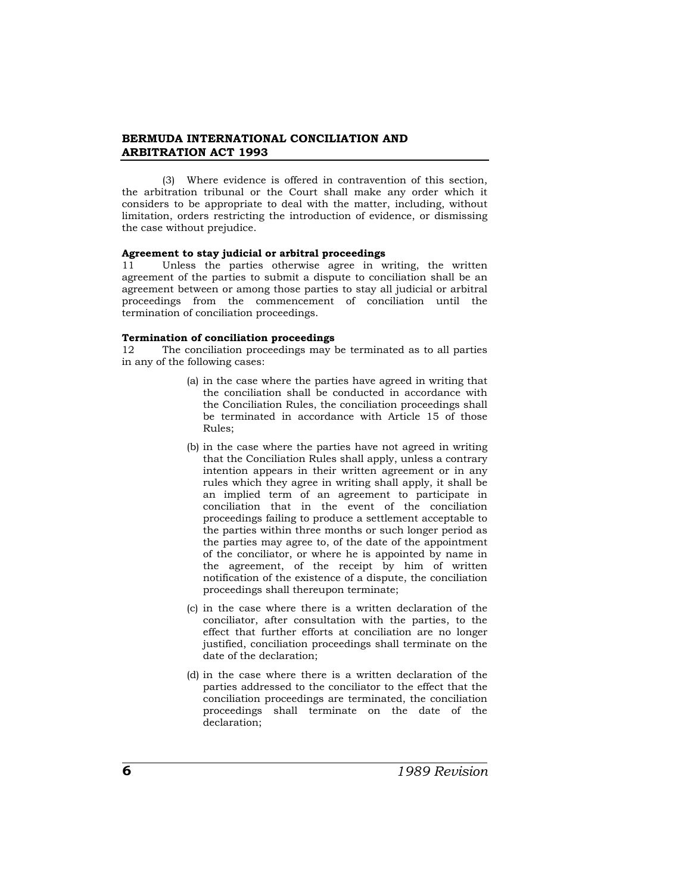(3) Where evidence is offered in contravention of this section, the arbitration tribunal or the Court shall make any order which it considers to be appropriate to deal with the matter, including, without limitation, orders restricting the introduction of evidence, or dismissing the case without prejudice.

## **Agreement to stay judicial or arbitral proceedings**

11 Unless the parties otherwise agree in writing, the written agreement of the parties to submit a dispute to conciliation shall be an agreement between or among those parties to stay all judicial or arbitral proceedings from the commencement of conciliation until the termination of conciliation proceedings.

#### **Termination of conciliation proceedings**

12 The conciliation proceedings may be terminated as to all parties in any of the following cases:

- (a) in the case where the parties have agreed in writing that the conciliation shall be conducted in accordance with the Conciliation Rules, the conciliation proceedings shall be terminated in accordance with Article 15 of those Rules;
- (b) in the case where the parties have not agreed in writing that the Conciliation Rules shall apply, unless a contrary intention appears in their written agreement or in any rules which they agree in writing shall apply, it shall be an implied term of an agreement to participate in conciliation that in the event of the conciliation proceedings failing to produce a settlement acceptable to the parties within three months or such longer period as the parties may agree to, of the date of the appointment of the conciliator, or where he is appointed by name in the agreement, of the receipt by him of written notification of the existence of a dispute, the conciliation proceedings shall thereupon terminate;
- (c) in the case where there is a written declaration of the conciliator, after consultation with the parties, to the effect that further efforts at conciliation are no longer justified, conciliation proceedings shall terminate on the date of the declaration;
- (d) in the case where there is a written declaration of the parties addressed to the conciliator to the effect that the conciliation proceedings are terminated, the conciliation proceedings shall terminate on the date of the declaration;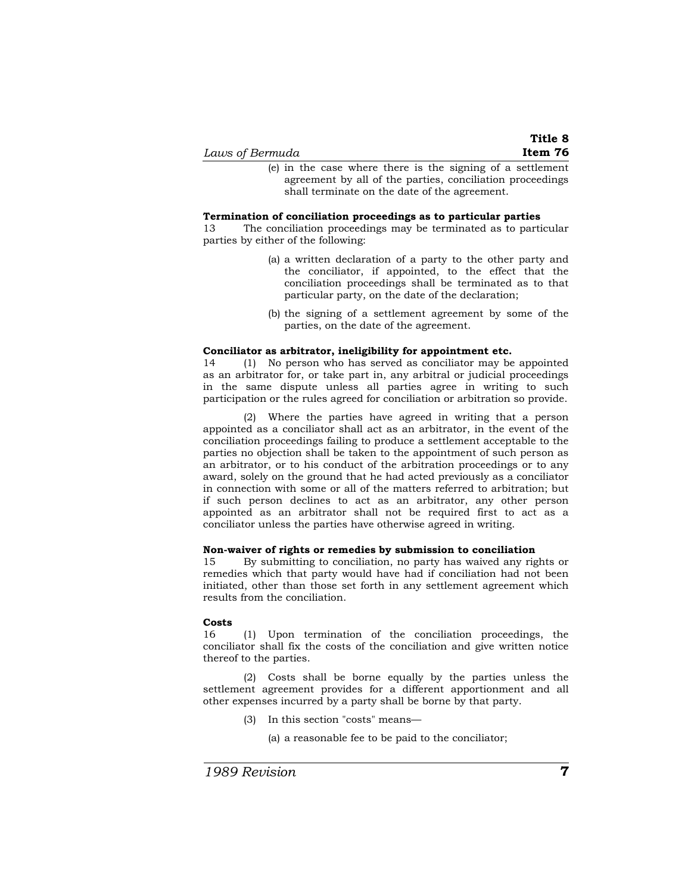(e) in the case where there is the signing of a settlement agreement by all of the parties, conciliation proceedings shall terminate on the date of the agreement.

#### **Termination of conciliation proceedings as to particular parties**

13 The conciliation proceedings may be terminated as to particular parties by either of the following:

- (a) a written declaration of a party to the other party and the conciliator, if appointed, to the effect that the conciliation proceedings shall be terminated as to that particular party, on the date of the declaration;
- (b) the signing of a settlement agreement by some of the parties, on the date of the agreement.

#### **Conciliator as arbitrator, ineligibility for appointment etc.**

14 (1) No person who has served as conciliator may be appointed as an arbitrator for, or take part in, any arbitral or judicial proceedings in the same dispute unless all parties agree in writing to such participation or the rules agreed for conciliation or arbitration so provide.

 (2) Where the parties have agreed in writing that a person appointed as a conciliator shall act as an arbitrator, in the event of the conciliation proceedings failing to produce a settlement acceptable to the parties no objection shall be taken to the appointment of such person as an arbitrator, or to his conduct of the arbitration proceedings or to any award, solely on the ground that he had acted previously as a conciliator in connection with some or all of the matters referred to arbitration; but if such person declines to act as an arbitrator, any other person appointed as an arbitrator shall not be required first to act as a conciliator unless the parties have otherwise agreed in writing.

#### **Non-waiver of rights or remedies by submission to conciliation**

15 By submitting to conciliation, no party has waived any rights or remedies which that party would have had if conciliation had not been initiated, other than those set forth in any settlement agreement which results from the conciliation.

#### **Costs**

16 (1) Upon termination of the conciliation proceedings, the conciliator shall fix the costs of the conciliation and give written notice thereof to the parties.

(2) Costs shall be borne equally by the parties unless the settlement agreement provides for a different apportionment and all other expenses incurred by a party shall be borne by that party.

- (3) In this section "costs" means—
	- (a) a reasonable fee to be paid to the conciliator;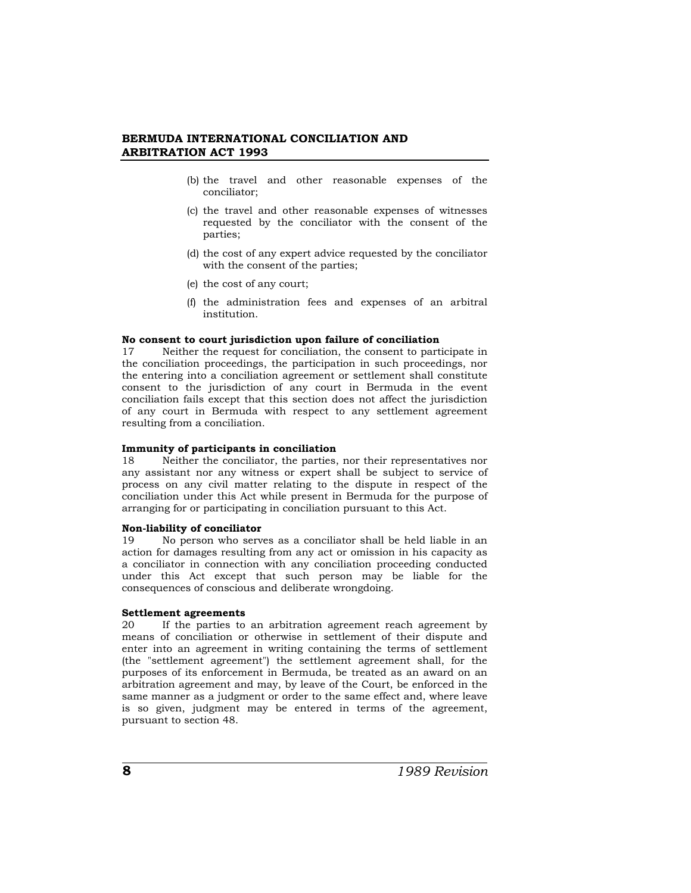- (b) the travel and other reasonable expenses of the conciliator;
- (c) the travel and other reasonable expenses of witnesses requested by the conciliator with the consent of the parties;
- (d) the cost of any expert advice requested by the conciliator with the consent of the parties;
- (e) the cost of any court;
- (f) the administration fees and expenses of an arbitral institution.

#### **No consent to court jurisdiction upon failure of conciliation**

17 Neither the request for conciliation, the consent to participate in the conciliation proceedings, the participation in such proceedings, nor the entering into a conciliation agreement or settlement shall constitute consent to the jurisdiction of any court in Bermuda in the event conciliation fails except that this section does not affect the jurisdiction of any court in Bermuda with respect to any settlement agreement resulting from a conciliation.

## **Immunity of participants in conciliation**

18 Neither the conciliator, the parties, nor their representatives nor any assistant nor any witness or expert shall be subject to service of process on any civil matter relating to the dispute in respect of the conciliation under this Act while present in Bermuda for the purpose of arranging for or participating in conciliation pursuant to this Act.

### **Non-liability of conciliator**

19 No person who serves as a conciliator shall be held liable in an action for damages resulting from any act or omission in his capacity as a conciliator in connection with any conciliation proceeding conducted under this Act except that such person may be liable for the consequences of conscious and deliberate wrongdoing.

## **Settlement agreements**

20 If the parties to an arbitration agreement reach agreement by means of conciliation or otherwise in settlement of their dispute and enter into an agreement in writing containing the terms of settlement (the "settlement agreement") the settlement agreement shall, for the purposes of its enforcement in Bermuda, be treated as an award on an arbitration agreement and may, by leave of the Court, be enforced in the same manner as a judgment or order to the same effect and, where leave is so given, judgment may be entered in terms of the agreement, pursuant to section 48.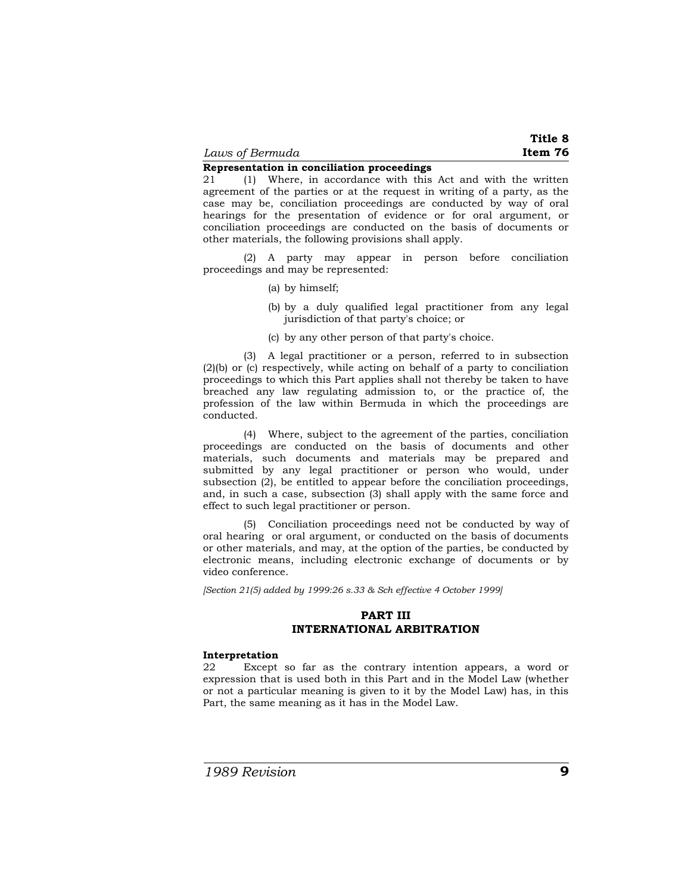*Laws of Bermuda* **Item 76**

## **Representation in conciliation proceedings**

21 (1) Where, in accordance with this Act and with the written agreement of the parties or at the request in writing of a party, as the case may be, conciliation proceedings are conducted by way of oral hearings for the presentation of evidence or for oral argument, or conciliation proceedings are conducted on the basis of documents or other materials, the following provisions shall apply.

(2) A party may appear in person before conciliation proceedings and may be represented:

- (a) by himself;
- (b) by a duly qualified legal practitioner from any legal jurisdiction of that party's choice; or
- (c) by any other person of that party's choice.

(3) A legal practitioner or a person, referred to in subsection (2)(b) or (c) respectively, while acting on behalf of a party to conciliation proceedings to which this Part applies shall not thereby be taken to have breached any law regulating admission to, or the practice of, the profession of the law within Bermuda in which the proceedings are conducted.

(4) Where, subject to the agreement of the parties, conciliation proceedings are conducted on the basis of documents and other materials, such documents and materials may be prepared and submitted by any legal practitioner or person who would, under subsection (2), be entitled to appear before the conciliation proceedings, and, in such a case, subsection (3) shall apply with the same force and effect to such legal practitioner or person.

(5) Conciliation proceedings need not be conducted by way of oral hearing or oral argument, or conducted on the basis of documents or other materials, and may, at the option of the parties, be conducted by electronic means, including electronic exchange of documents or by video conference.

*[Section 21(5) added by 1999:26 s.33 & Sch effective 4 October 1999]* 

## **PART III INTERNATIONAL ARBITRATION**

#### **Interpretation**

22 Except so far as the contrary intention appears, a word or expression that is used both in this Part and in the Model Law (whether or not a particular meaning is given to it by the Model Law) has, in this Part, the same meaning as it has in the Model Law.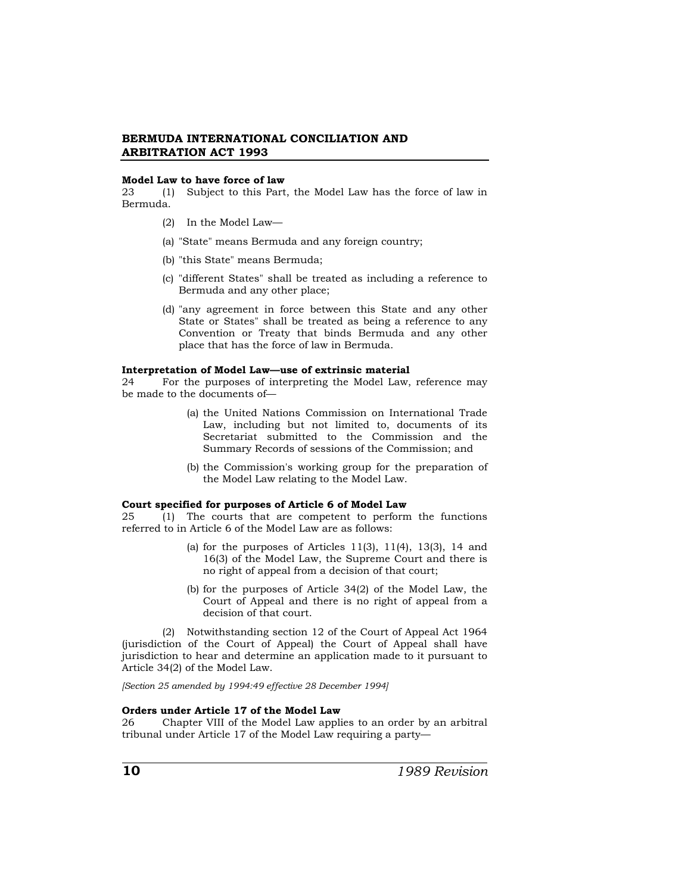## **Model Law to have force of law**

23 (1) Subject to this Part, the Model Law has the force of law in Bermuda.

- (2) In the Model Law—
- (a) "State" means Bermuda and any foreign country;
- (b) "this State" means Bermuda;
- (c) "different States" shall be treated as including a reference to Bermuda and any other place;
- (d) "any agreement in force between this State and any other State or States" shall be treated as being a reference to any Convention or Treaty that binds Bermuda and any other place that has the force of law in Bermuda.

#### **Interpretation of Model Law—use of extrinsic material**

24 For the purposes of interpreting the Model Law, reference may be made to the documents of—

- (a) the United Nations Commission on International Trade Law, including but not limited to, documents of its Secretariat submitted to the Commission and the Summary Records of sessions of the Commission; and
- (b) the Commission's working group for the preparation of the Model Law relating to the Model Law.

## **Court specified for purposes of Article 6 of Model Law**

25 (1) The courts that are competent to perform the functions referred to in Article 6 of the Model Law are as follows:

- (a) for the purposes of Articles  $11(3)$ ,  $11(4)$ ,  $13(3)$ ,  $14$  and 16(3) of the Model Law, the Supreme Court and there is no right of appeal from a decision of that court;
- (b) for the purposes of Article 34(2) of the Model Law, the Court of Appeal and there is no right of appeal from a decision of that court.

 (2) Notwithstanding section 12 of the Court of Appeal Act 1964 (jurisdiction of the Court of Appeal) the Court of Appeal shall have jurisdiction to hear and determine an application made to it pursuant to Article 34(2) of the Model Law.

*[Section 25 amended by 1994:49 effective 28 December 1994]* 

#### **Orders under Article 17 of the Model Law**

26 Chapter VIII of the Model Law applies to an order by an arbitral tribunal under Article 17 of the Model Law requiring a party—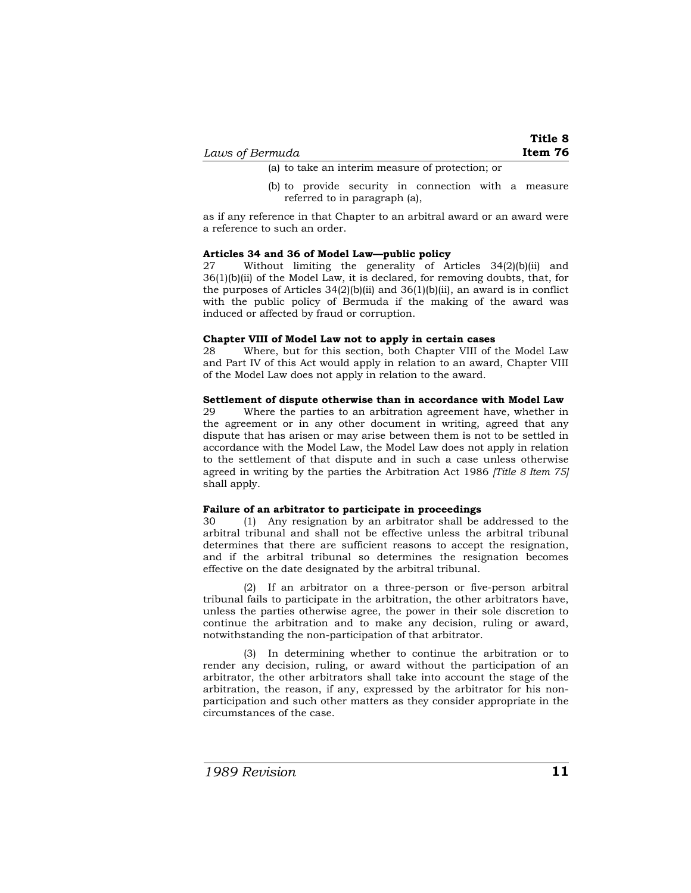| Laws of Bermuda | Item 76 |
|-----------------|---------|
|-----------------|---------|

- (a) to take an interim measure of protection; or
- (b) to provide security in connection with a measure referred to in paragraph (a),

as if any reference in that Chapter to an arbitral award or an award were a reference to such an order.

## **Articles 34 and 36 of Model Law—public policy**

27 Without limiting the generality of Articles 34(2)(b)(ii) and 36(1)(b)(ii) of the Model Law, it is declared, for removing doubts, that, for the purposes of Articles  $34(2)(b)(ii)$  and  $36(1)(b)(ii)$ , an award is in conflict with the public policy of Bermuda if the making of the award was induced or affected by fraud or corruption.

#### **Chapter VIII of Model Law not to apply in certain cases**

28 Where, but for this section, both Chapter VIII of the Model Law and Part IV of this Act would apply in relation to an award, Chapter VIII of the Model Law does not apply in relation to the award.

## **Settlement of dispute otherwise than in accordance with Model Law**

29 Where the parties to an arbitration agreement have, whether in the agreement or in any other document in writing, agreed that any dispute that has arisen or may arise between them is not to be settled in accordance with the Model Law, the Model Law does not apply in relation to the settlement of that dispute and in such a case unless otherwise agreed in writing by the parties the Arbitration Act 1986 *[Title 8 Item 75]*  shall apply.

## **Failure of an arbitrator to participate in proceedings**

30 (1) Any resignation by an arbitrator shall be addressed to the arbitral tribunal and shall not be effective unless the arbitral tribunal determines that there are sufficient reasons to accept the resignation, and if the arbitral tribunal so determines the resignation becomes effective on the date designated by the arbitral tribunal.

(2) If an arbitrator on a three-person or five-person arbitral tribunal fails to participate in the arbitration, the other arbitrators have, unless the parties otherwise agree, the power in their sole discretion to continue the arbitration and to make any decision, ruling or award, notwithstanding the non-participation of that arbitrator.

(3) In determining whether to continue the arbitration or to render any decision, ruling, or award without the participation of an arbitrator, the other arbitrators shall take into account the stage of the arbitration, the reason, if any, expressed by the arbitrator for his nonparticipation and such other matters as they consider appropriate in the circumstances of the case.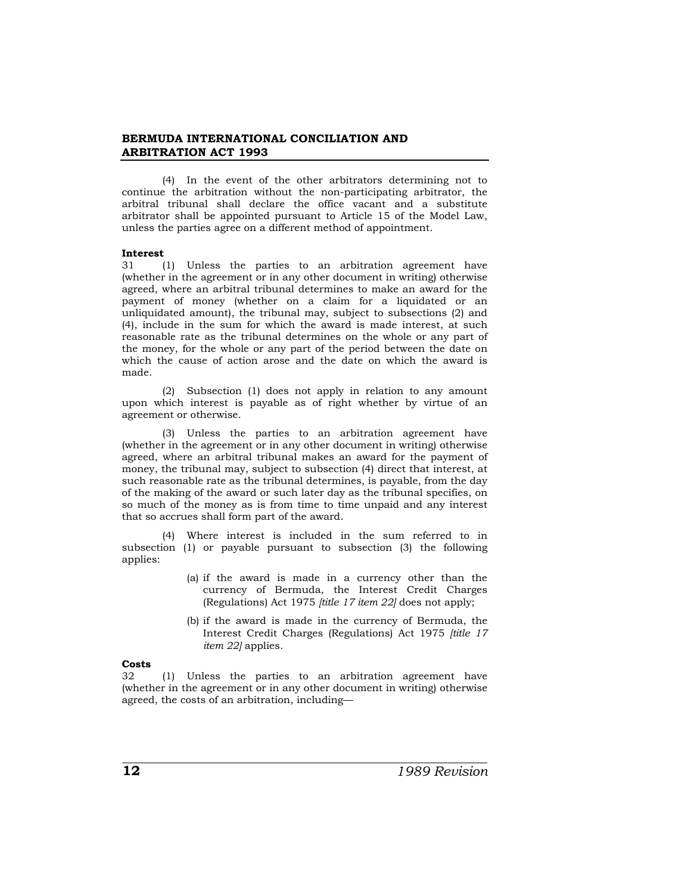(4) In the event of the other arbitrators determining not to continue the arbitration without the non-participating arbitrator, the arbitral tribunal shall declare the office vacant and a substitute arbitrator shall be appointed pursuant to Article 15 of the Model Law, unless the parties agree on a different method of appointment.

#### **Interest**

31 (1) Unless the parties to an arbitration agreement have (whether in the agreement or in any other document in writing) otherwise agreed, where an arbitral tribunal determines to make an award for the payment of money (whether on a claim for a liquidated or an unliquidated amount), the tribunal may, subject to subsections (2) and (4), include in the sum for which the award is made interest, at such reasonable rate as the tribunal determines on the whole or any part of the money, for the whole or any part of the period between the date on which the cause of action arose and the date on which the award is made.

(2) Subsection (1) does not apply in relation to any amount upon which interest is payable as of right whether by virtue of an agreement or otherwise.

(3) Unless the parties to an arbitration agreement have (whether in the agreement or in any other document in writing) otherwise agreed, where an arbitral tribunal makes an award for the payment of money, the tribunal may, subject to subsection (4) direct that interest, at such reasonable rate as the tribunal determines, is payable, from the day of the making of the award or such later day as the tribunal specifies, on so much of the money as is from time to time unpaid and any interest that so accrues shall form part of the award.

(4) Where interest is included in the sum referred to in subsection (1) or payable pursuant to subsection (3) the following applies:

- (a) if the award is made in a currency other than the currency of Bermuda, the Interest Credit Charges (Regulations) Act 1975 *[title 17 item 22]* does not apply;
- (b) if the award is made in the currency of Bermuda, the Interest Credit Charges (Regulations) Act 1975 *[title 17 item 22]* applies.

#### **Costs**

32 (1) Unless the parties to an arbitration agreement have (whether in the agreement or in any other document in writing) otherwise agreed, the costs of an arbitration, including—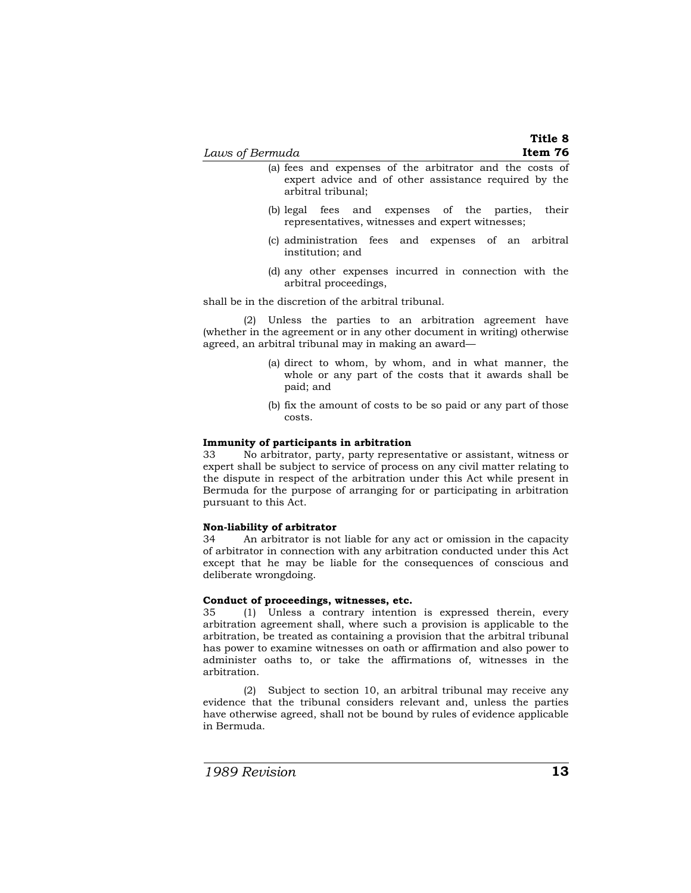- (a) fees and expenses of the arbitrator and the costs of expert advice and of other assistance required by the arbitral tribunal;
	- (b) legal fees and expenses of the parties, their representatives, witnesses and expert witnesses;
	- (c) administration fees and expenses of an arbitral institution; and
	- (d) any other expenses incurred in connection with the arbitral proceedings,

shall be in the discretion of the arbitral tribunal.

(2) Unless the parties to an arbitration agreement have (whether in the agreement or in any other document in writing) otherwise agreed, an arbitral tribunal may in making an award—

- (a) direct to whom, by whom, and in what manner, the whole or any part of the costs that it awards shall be paid; and
- (b) fix the amount of costs to be so paid or any part of those costs.

#### **Immunity of participants in arbitration**

33 No arbitrator, party, party representative or assistant, witness or expert shall be subject to service of process on any civil matter relating to the dispute in respect of the arbitration under this Act while present in Bermuda for the purpose of arranging for or participating in arbitration pursuant to this Act.

#### **Non-liability of arbitrator**

34 An arbitrator is not liable for any act or omission in the capacity of arbitrator in connection with any arbitration conducted under this Act except that he may be liable for the consequences of conscious and deliberate wrongdoing.

## **Conduct of proceedings, witnesses, etc.**

35 (1) Unless a contrary intention is expressed therein, every arbitration agreement shall, where such a provision is applicable to the arbitration, be treated as containing a provision that the arbitral tribunal has power to examine witnesses on oath or affirmation and also power to administer oaths to, or take the affirmations of, witnesses in the arbitration.

(2) Subject to section 10, an arbitral tribunal may receive any evidence that the tribunal considers relevant and, unless the parties have otherwise agreed, shall not be bound by rules of evidence applicable in Bermuda.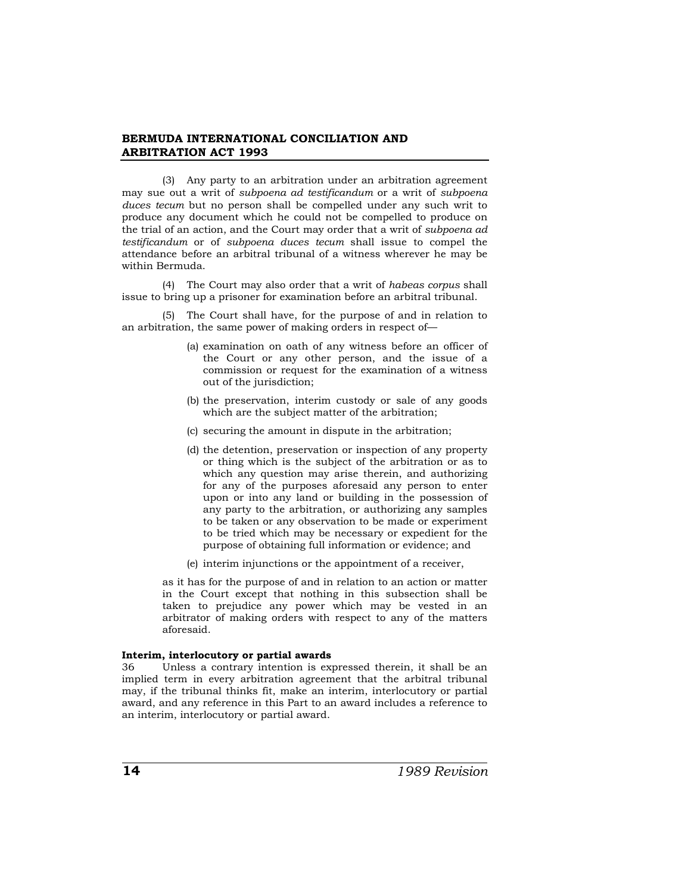(3) Any party to an arbitration under an arbitration agreement may sue out a writ of *subpoena ad testificandum* or a writ of *subpoena duces tecum* but no person shall be compelled under any such writ to produce any document which he could not be compelled to produce on the trial of an action, and the Court may order that a writ of *subpoena ad testificandum* or of *subpoena duces tecum* shall issue to compel the attendance before an arbitral tribunal of a witness wherever he may be within Bermuda.

(4) The Court may also order that a writ of *habeas corpus* shall issue to bring up a prisoner for examination before an arbitral tribunal.

(5) The Court shall have, for the purpose of and in relation to an arbitration, the same power of making orders in respect of—

- (a) examination on oath of any witness before an officer of the Court or any other person, and the issue of a commission or request for the examination of a witness out of the jurisdiction;
- (b) the preservation, interim custody or sale of any goods which are the subject matter of the arbitration;
- (c) securing the amount in dispute in the arbitration;
- (d) the detention, preservation or inspection of any property or thing which is the subject of the arbitration or as to which any question may arise therein, and authorizing for any of the purposes aforesaid any person to enter upon or into any land or building in the possession of any party to the arbitration, or authorizing any samples to be taken or any observation to be made or experiment to be tried which may be necessary or expedient for the purpose of obtaining full information or evidence; and
- (e) interim injunctions or the appointment of a receiver,

as it has for the purpose of and in relation to an action or matter in the Court except that nothing in this subsection shall be taken to prejudice any power which may be vested in an arbitrator of making orders with respect to any of the matters aforesaid.

## **Interim, interlocutory or partial awards**

36 Unless a contrary intention is expressed therein, it shall be an implied term in every arbitration agreement that the arbitral tribunal may, if the tribunal thinks fit, make an interim, interlocutory or partial award, and any reference in this Part to an award includes a reference to an interim, interlocutory or partial award.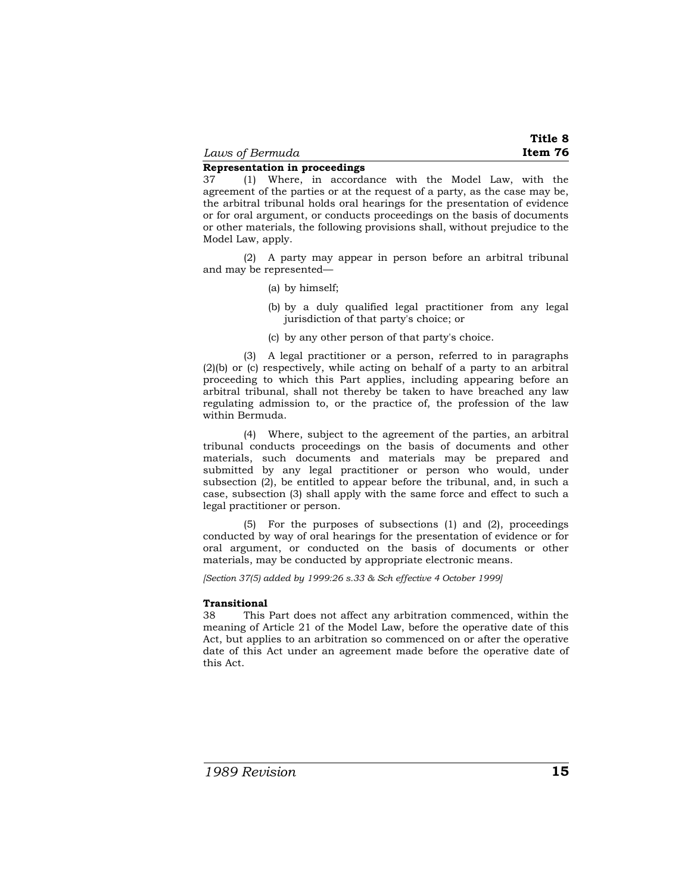| Laws of Bermuda               | -----<br>Item 76 |
|-------------------------------|------------------|
| Representation in proceedings |                  |

37 (1) Where, in accordance with the Model Law, with the agreement of the parties or at the request of a party, as the case may be, the arbitral tribunal holds oral hearings for the presentation of evidence or for oral argument, or conducts proceedings on the basis of documents or other materials, the following provisions shall, without prejudice to the Model Law, apply.

(2) A party may appear in person before an arbitral tribunal and may be represented—

- (a) by himself;
- (b) by a duly qualified legal practitioner from any legal jurisdiction of that party's choice; or
- (c) by any other person of that party's choice.

(3) A legal practitioner or a person, referred to in paragraphs (2)(b) or (c) respectively, while acting on behalf of a party to an arbitral proceeding to which this Part applies, including appearing before an arbitral tribunal, shall not thereby be taken to have breached any law regulating admission to, or the practice of, the profession of the law within Bermuda.

(4) Where, subject to the agreement of the parties, an arbitral tribunal conducts proceedings on the basis of documents and other materials, such documents and materials may be prepared and submitted by any legal practitioner or person who would, under subsection (2), be entitled to appear before the tribunal, and, in such a case, subsection (3) shall apply with the same force and effect to such a legal practitioner or person.

(5) For the purposes of subsections (1) and (2), proceedings conducted by way of oral hearings for the presentation of evidence or for oral argument, or conducted on the basis of documents or other materials, may be conducted by appropriate electronic means.

*[Section 37(5) added by 1999:26 s.33 & Sch effective 4 October 1999]* 

## **Transitional**

38 This Part does not affect any arbitration commenced, within the meaning of Article 21 of the Model Law, before the operative date of this Act, but applies to an arbitration so commenced on or after the operative date of this Act under an agreement made before the operative date of this Act.

**Title 8**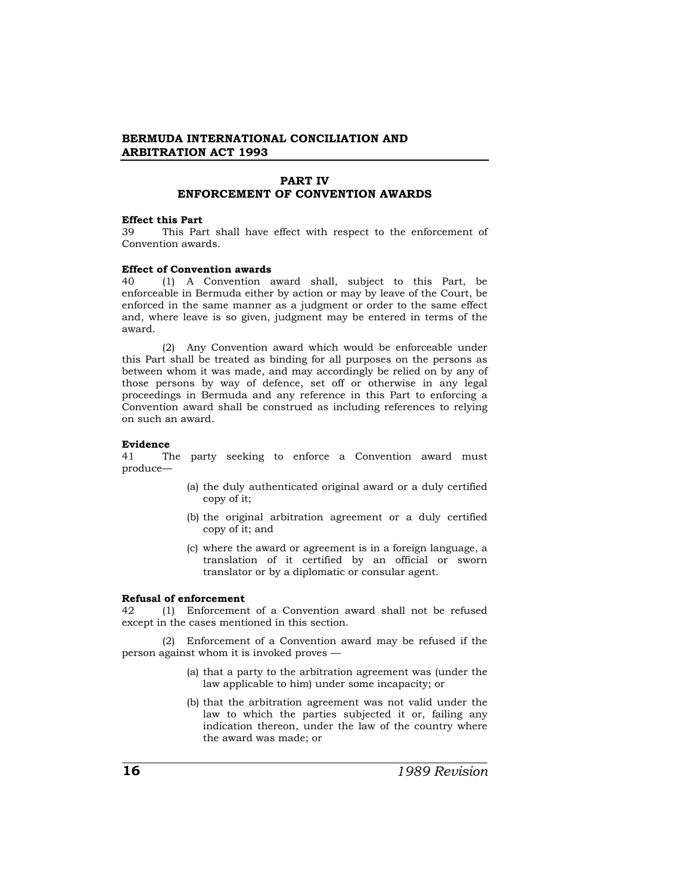## **PART IV ENFORCEMENT OF CONVENTION AWARDS**

#### **Effect this Part**

39 This Part shall have effect with respect to the enforcement of Convention awards.

#### **Effect of Convention awards**

40 (1) A Convention award shall, subject to this Part, be enforceable in Bermuda either by action or may by leave of the Court, be enforced in the same manner as a judgment or order to the same effect and, where leave is so given, judgment may be entered in terms of the award.

(2) Any Convention award which would be enforceable under this Part shall be treated as binding for all purposes on the persons as between whom it was made, and may accordingly be relied on by any of those persons by way of defence, set off or otherwise in any legal proceedings in Bermuda and any reference in this Part to enforcing a Convention award shall be construed as including references to relying on such an award.

#### **Evidence**

41 The party seeking to enforce a Convention award must produce—

- (a) the duly authenticated original award or a duly certified copy of it;
- (b) the original arbitration agreement or a duly certified copy of it; and
- (c) where the award or agreement is in a foreign language, a translation of it certified by an official or sworn translator or by a diplomatic or consular agent.

## **Refusal of enforcement**

42 (1) Enforcement of a Convention award shall not be refused except in the cases mentioned in this section.

(2) Enforcement of a Convention award may be refused if the person against whom it is invoked proves —

- (a) that a party to the arbitration agreement was (under the law applicable to him) under some incapacity; or
- (b) that the arbitration agreement was not valid under the law to which the parties subjected it or, failing any indication thereon, under the law of the country where the award was made; or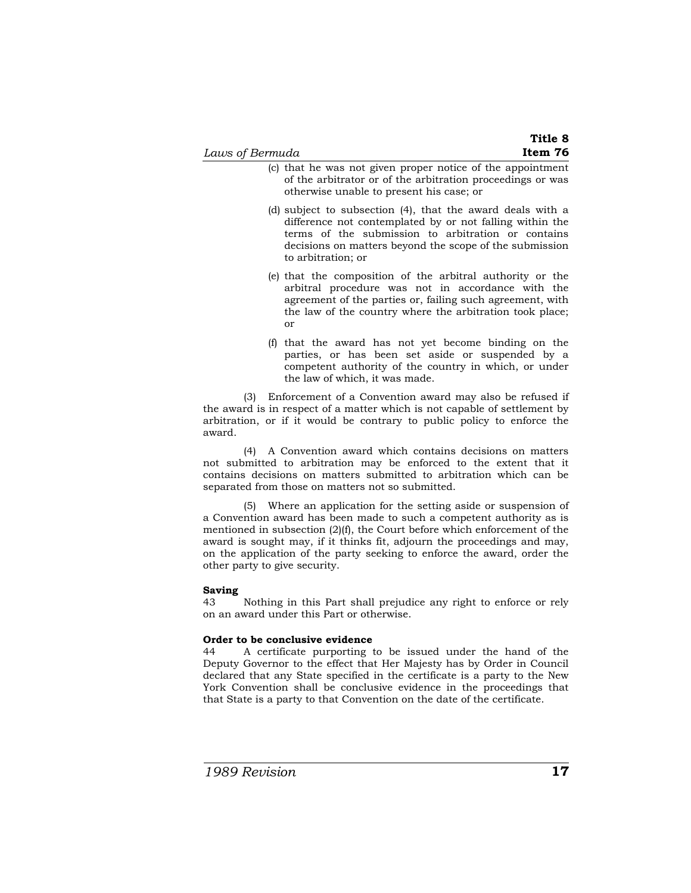- (c) that he was not given proper notice of the appointment of the arbitrator or of the arbitration proceedings or was otherwise unable to present his case; or
- (d) subject to subsection (4), that the award deals with a difference not contemplated by or not falling within the terms of the submission to arbitration or contains decisions on matters beyond the scope of the submission to arbitration; or
- (e) that the composition of the arbitral authority or the arbitral procedure was not in accordance with the agreement of the parties or, failing such agreement, with the law of the country where the arbitration took place; or
- (f) that the award has not yet become binding on the parties, or has been set aside or suspended by a competent authority of the country in which, or under the law of which, it was made.

(3) Enforcement of a Convention award may also be refused if the award is in respect of a matter which is not capable of settlement by arbitration, or if it would be contrary to public policy to enforce the award.

(4) A Convention award which contains decisions on matters not submitted to arbitration may be enforced to the extent that it contains decisions on matters submitted to arbitration which can be separated from those on matters not so submitted.

(5) Where an application for the setting aside or suspension of a Convention award has been made to such a competent authority as is mentioned in subsection  $(2)(f)$ , the Court before which enforcement of the award is sought may, if it thinks fit, adjourn the proceedings and may, on the application of the party seeking to enforce the award, order the other party to give security.

## **Saving**

43 Nothing in this Part shall prejudice any right to enforce or rely on an award under this Part or otherwise.

### **Order to be conclusive evidence**

44 A certificate purporting to be issued under the hand of the Deputy Governor to the effect that Her Majesty has by Order in Council declared that any State specified in the certificate is a party to the New York Convention shall be conclusive evidence in the proceedings that that State is a party to that Convention on the date of the certificate.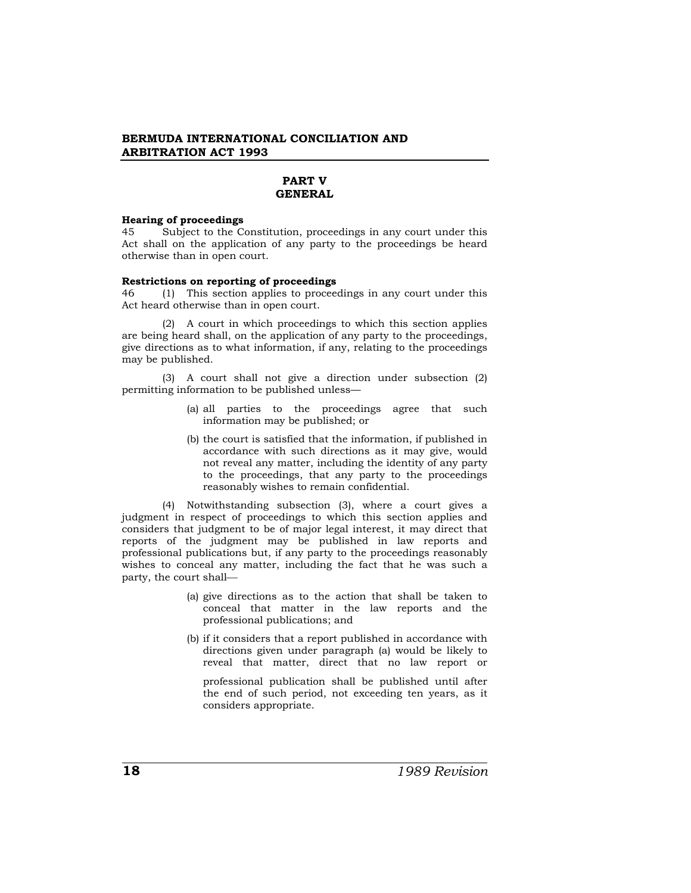## **PART V GENERAL**

#### **Hearing of proceedings**

45 Subject to the Constitution, proceedings in any court under this Act shall on the application of any party to the proceedings be heard otherwise than in open court.

#### **Restrictions on reporting of proceedings**

46 (1) This section applies to proceedings in any court under this Act heard otherwise than in open court.

(2) A court in which proceedings to which this section applies are being heard shall, on the application of any party to the proceedings, give directions as to what information, if any, relating to the proceedings may be published.

(3) A court shall not give a direction under subsection (2) permitting information to be published unless—

- (a) all parties to the proceedings agree that such information may be published; or
- (b) the court is satisfied that the information, if published in accordance with such directions as it may give, would not reveal any matter, including the identity of any party to the proceedings, that any party to the proceedings reasonably wishes to remain confidential.

(4) Notwithstanding subsection (3), where a court gives a judgment in respect of proceedings to which this section applies and considers that judgment to be of major legal interest, it may direct that reports of the judgment may be published in law reports and professional publications but, if any party to the proceedings reasonably wishes to conceal any matter, including the fact that he was such a party, the court shall-

- (a) give directions as to the action that shall be taken to conceal that matter in the law reports and the professional publications; and
- (b) if it considers that a report published in accordance with directions given under paragraph (a) would be likely to reveal that matter, direct that no law report or

professional publication shall be published until after the end of such period, not exceeding ten years, as it considers appropriate.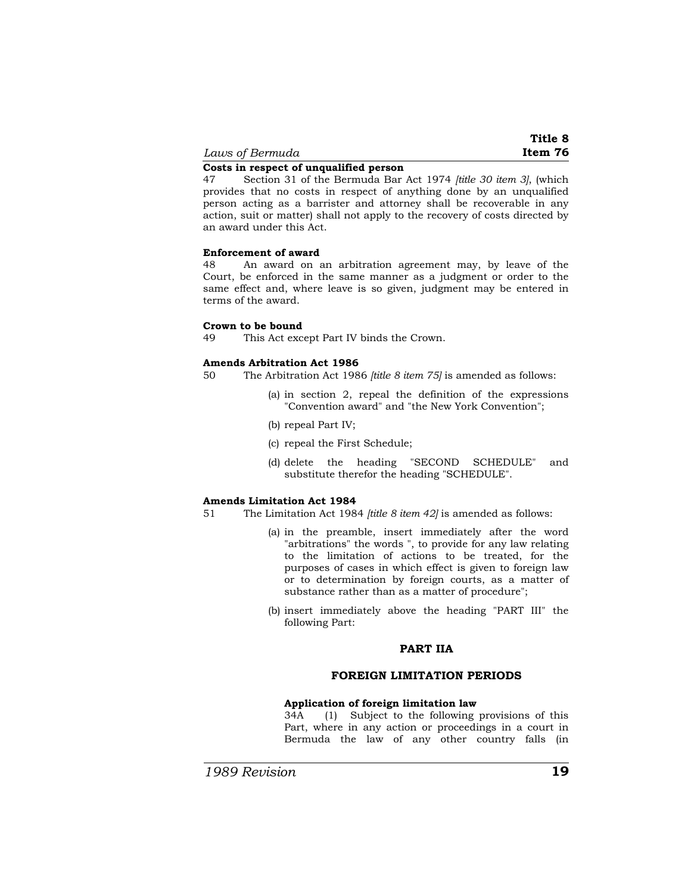|  | Laws of Bermuda |  |
|--|-----------------|--|
|--|-----------------|--|

## **Costs in respect of unqualified person**

47 Section 31 of the Bermuda Bar Act 1974 *[title 30 item 3]*, (which provides that no costs in respect of anything done by an unqualified person acting as a barrister and attorney shall be recoverable in any action, suit or matter) shall not apply to the recovery of costs directed by an award under this Act.

#### **Enforcement of award**

48 An award on an arbitration agreement may, by leave of the Court, be enforced in the same manner as a judgment or order to the same effect and, where leave is so given, judgment may be entered in terms of the award.

#### **Crown to be bound**

49 This Act except Part IV binds the Crown.

#### **Amends Arbitration Act 1986**

50 The Arbitration Act 1986 *[title 8 item 75]* is amended as follows:

- (a) in section 2, repeal the definition of the expressions "Convention award" and "the New York Convention";
- (b) repeal Part IV;
- (c) repeal the First Schedule;
- (d) delete the heading "SECOND SCHEDULE" and substitute therefor the heading "SCHEDULE".

## **Amends Limitation Act 1984**

- 51 The Limitation Act 1984 *[title 8 item 42]* is amended as follows:
	- (a) in the preamble, insert immediately after the word "arbitrations" the words ", to provide for any law relating to the limitation of actions to be treated, for the purposes of cases in which effect is given to foreign law or to determination by foreign courts, as a matter of substance rather than as a matter of procedure";
	- (b) insert immediately above the heading "PART III" the following Part:

## **PART IIA**

## **FOREIGN LIMITATION PERIODS**

#### **Application of foreign limitation law**

34A (1) Subject to the following provisions of this Part, where in any action or proceedings in a court in Bermuda the law of any other country falls (in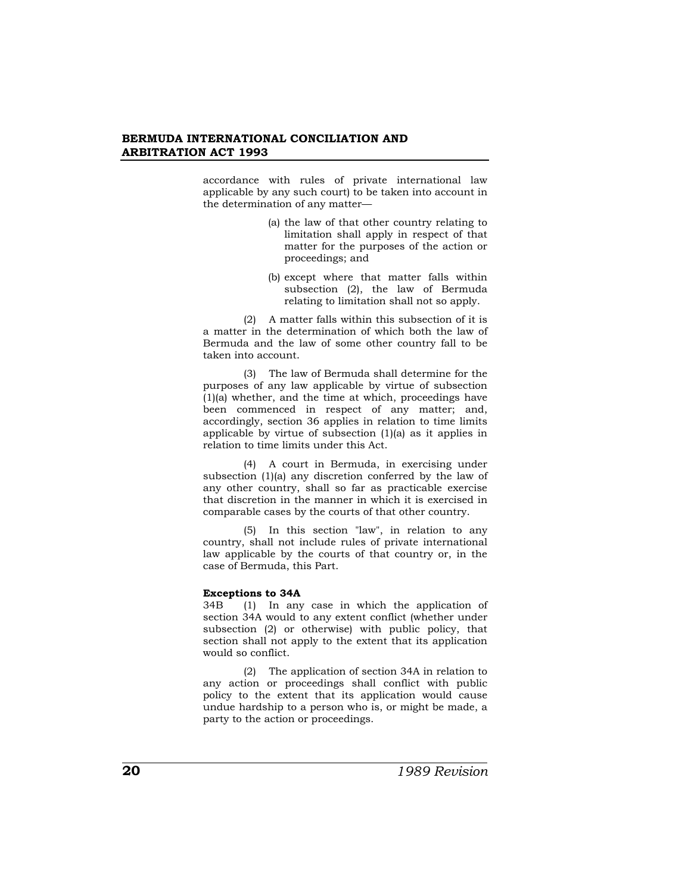accordance with rules of private international law applicable by any such court) to be taken into account in the determination of any matter—

- (a) the law of that other country relating to limitation shall apply in respect of that matter for the purposes of the action or proceedings; and
- (b) except where that matter falls within subsection (2), the law of Bermuda relating to limitation shall not so apply.

(2) A matter falls within this subsection of it is a matter in the determination of which both the law of Bermuda and the law of some other country fall to be taken into account.

(3) The law of Bermuda shall determine for the purposes of any law applicable by virtue of subsection (1)(a) whether, and the time at which, proceedings have been commenced in respect of any matter; and, accordingly, section 36 applies in relation to time limits applicable by virtue of subsection (1)(a) as it applies in relation to time limits under this Act.

(4) A court in Bermuda, in exercising under subsection (1)(a) any discretion conferred by the law of any other country, shall so far as practicable exercise that discretion in the manner in which it is exercised in comparable cases by the courts of that other country.

(5) In this section "law", in relation to any country, shall not include rules of private international law applicable by the courts of that country or, in the case of Bermuda, this Part.

#### **Exceptions to 34A**

34B (1) In any case in which the application of section 34A would to any extent conflict (whether under subsection (2) or otherwise) with public policy, that section shall not apply to the extent that its application would so conflict.

(2) The application of section 34A in relation to any action or proceedings shall conflict with public policy to the extent that its application would cause undue hardship to a person who is, or might be made, a party to the action or proceedings.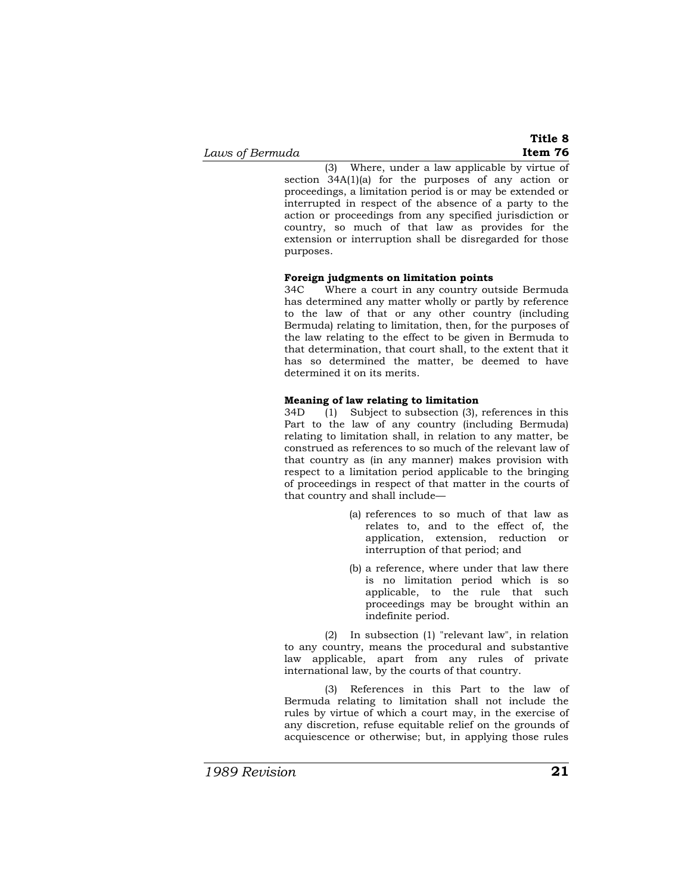*Laws of Bermuda* **Item 76**

(3) Where, under a law applicable by virtue of section 34A(1)(a) for the purposes of any action or proceedings, a limitation period is or may be extended or interrupted in respect of the absence of a party to the action or proceedings from any specified jurisdiction or country, so much of that law as provides for the extension or interruption shall be disregarded for those purposes.

## **Foreign judgments on limitation points**

34C Where a court in any country outside Bermuda has determined any matter wholly or partly by reference to the law of that or any other country (including Bermuda) relating to limitation, then, for the purposes of the law relating to the effect to be given in Bermuda to that determination, that court shall, to the extent that it has so determined the matter, be deemed to have determined it on its merits.

## **Meaning of law relating to limitation**

34D (1) Subject to subsection (3), references in this Part to the law of any country (including Bermuda) relating to limitation shall, in relation to any matter, be construed as references to so much of the relevant law of that country as (in any manner) makes provision with respect to a limitation period applicable to the bringing of proceedings in respect of that matter in the courts of that country and shall include—

- (a) references to so much of that law as relates to, and to the effect of, the application, extension, reduction or interruption of that period; and
- (b) a reference, where under that law there is no limitation period which is so applicable, to the rule that such proceedings may be brought within an indefinite period.

(2) In subsection (1) "relevant law", in relation to any country, means the procedural and substantive law applicable, apart from any rules of private international law, by the courts of that country.

(3) References in this Part to the law of Bermuda relating to limitation shall not include the rules by virtue of which a court may, in the exercise of any discretion, refuse equitable relief on the grounds of acquiescence or otherwise; but, in applying those rules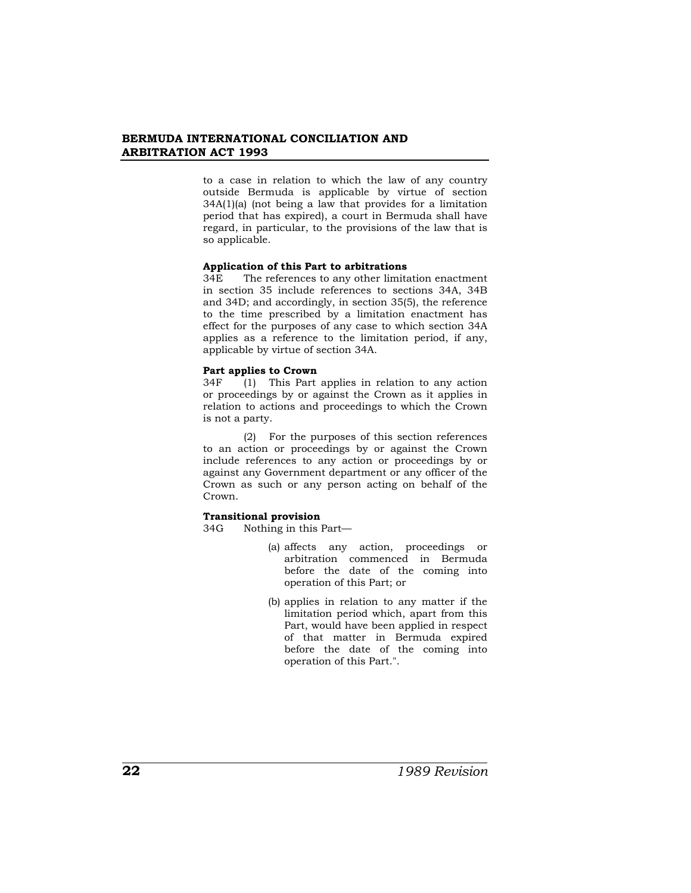to a case in relation to which the law of any country outside Bermuda is applicable by virtue of section  $34A(1)(a)$  (not being a law that provides for a limitation period that has expired), a court in Bermuda shall have regard, in particular, to the provisions of the law that is so applicable.

#### **Application of this Part to arbitrations**

34E The references to any other limitation enactment in section 35 include references to sections 34A, 34B and 34D; and accordingly, in section 35(5), the reference to the time prescribed by a limitation enactment has effect for the purposes of any case to which section 34A applies as a reference to the limitation period, if any, applicable by virtue of section 34A.

## **Part applies to Crown**

34F (1) This Part applies in relation to any action or proceedings by or against the Crown as it applies in relation to actions and proceedings to which the Crown is not a party.

(2) For the purposes of this section references to an action or proceedings by or against the Crown include references to any action or proceedings by or against any Government department or any officer of the Crown as such or any person acting on behalf of the Crown.

## **Transitional provision**

34G Nothing in this Part—

- (a) affects any action, proceedings or arbitration commenced in Bermuda before the date of the coming into operation of this Part; or
- (b) applies in relation to any matter if the limitation period which, apart from this Part, would have been applied in respect of that matter in Bermuda expired before the date of the coming into operation of this Part.".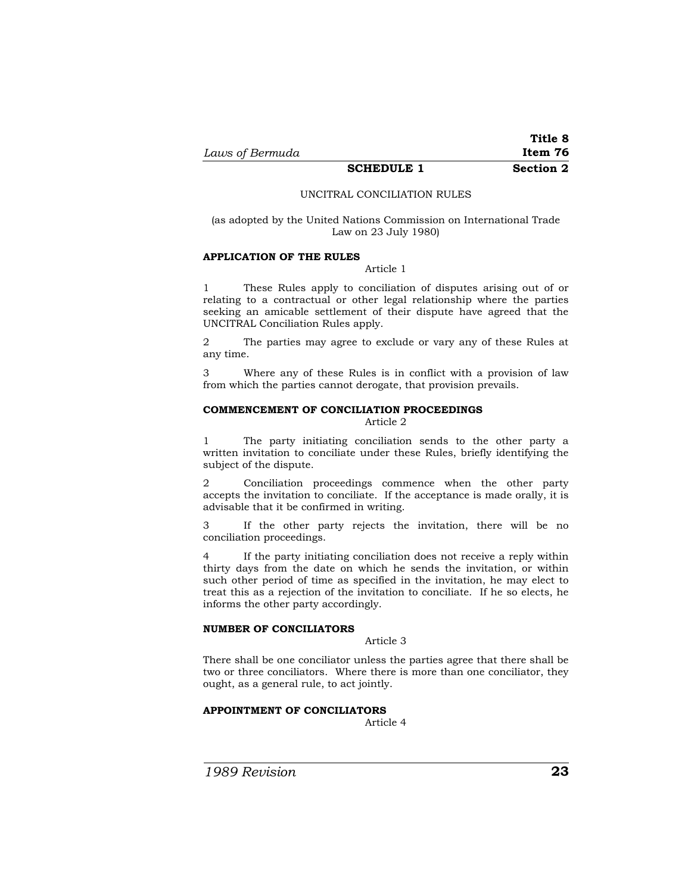## UNCITRAL CONCILIATION RULES

(as adopted by the United Nations Commission on International Trade Law on 23 July 1980)

## **APPLICATION OF THE RULES**

## Article 1

1 These Rules apply to conciliation of disputes arising out of or relating to a contractual or other legal relationship where the parties seeking an amicable settlement of their dispute have agreed that the UNCITRAL Conciliation Rules apply.

2 The parties may agree to exclude or vary any of these Rules at any time.

3 Where any of these Rules is in conflict with a provision of law from which the parties cannot derogate, that provision prevails.

## **COMMENCEMENT OF CONCILIATION PROCEEDINGS**

Article 2

1 The party initiating conciliation sends to the other party a written invitation to conciliate under these Rules, briefly identifying the subject of the dispute.

2 Conciliation proceedings commence when the other party accepts the invitation to conciliate. If the acceptance is made orally, it is advisable that it be confirmed in writing.

3 If the other party rejects the invitation, there will be no conciliation proceedings.

4 If the party initiating conciliation does not receive a reply within thirty days from the date on which he sends the invitation, or within such other period of time as specified in the invitation, he may elect to treat this as a rejection of the invitation to conciliate. If he so elects, he informs the other party accordingly.

## **NUMBER OF CONCILIATORS**

Article 3

There shall be one conciliator unless the parties agree that there shall be two or three conciliators. Where there is more than one conciliator, they ought, as a general rule, to act jointly.

## **APPOINTMENT OF CONCILIATORS**

Article 4

*1989 Revision* **23**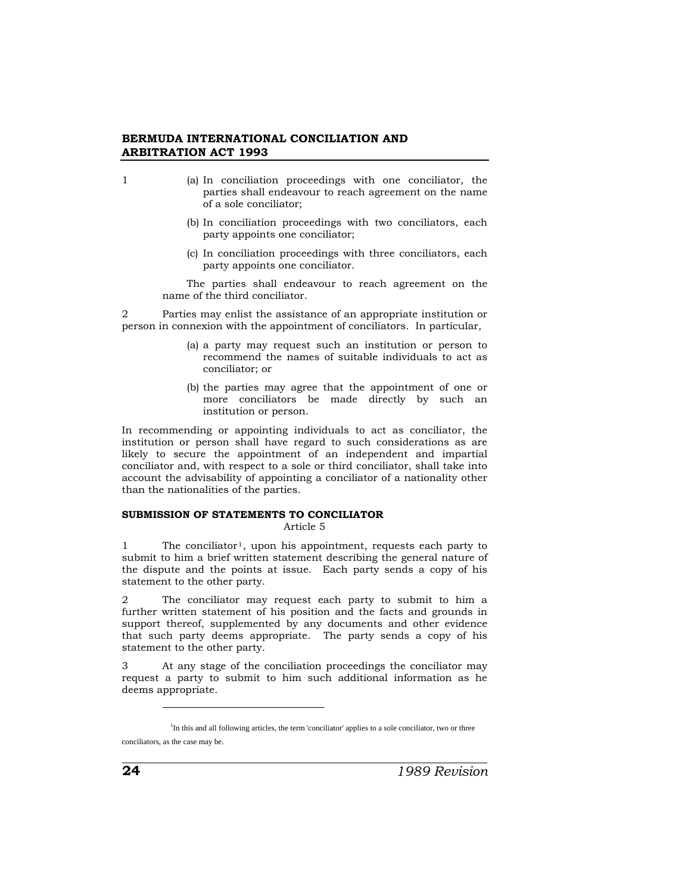- 
- 1 (a) In conciliation proceedings with one conciliator, the parties shall endeavour to reach agreement on the name of a sole conciliator;
	- (b) In conciliation proceedings with two conciliators, each party appoints one conciliator;
	- (c) In conciliation proceedings with three conciliators, each party appoints one conciliator.

The parties shall endeavour to reach agreement on the name of the third conciliator.

2 Parties may enlist the assistance of an appropriate institution or person in connexion with the appointment of conciliators. In particular,

- (a) a party may request such an institution or person to recommend the names of suitable individuals to act as conciliator; or
- (b) the parties may agree that the appointment of one or more conciliators be made directly by such an institution or person.

In recommending or appointing individuals to act as conciliator, the institution or person shall have regard to such considerations as are likely to secure the appointment of an independent and impartial conciliator and, with respect to a sole or third conciliator, shall take into account the advisability of appointing a conciliator of a nationality other than the nationalities of the parties.

## **SUBMISSION OF STATEMENTS TO CONCILIATOR**  Article 5

[1](#page-23-0) The conciliator<sup>1</sup>, upon his appointment, requests each party to submit to him a brief written statement describing the general nature of the dispute and the points at issue. Each party sends a copy of his statement to the other party.

2 The conciliator may request each party to submit to him a further written statement of his position and the facts and grounds in support thereof, supplemented by any documents and other evidence that such party deems appropriate. The party sends a copy of his statement to the other party.

3 At any stage of the conciliation proceedings the conciliator may request a party to submit to him such additional information as he deems appropriate.

l

<span id="page-23-0"></span><sup>&</sup>lt;sup>1</sup>In this and all following articles, the term 'conciliator' applies to a sole conciliator, two or three conciliators, as the case may be.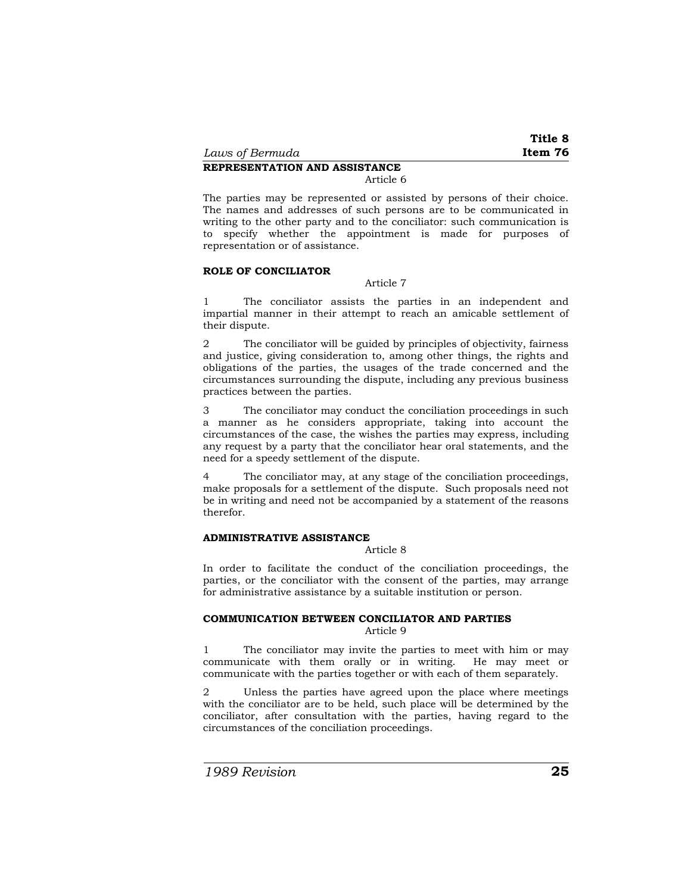| Laws of Bermuda               | Item 76 |
|-------------------------------|---------|
| REPRESENTATION AND ASSISTANCE |         |
| Article 6                     |         |

The parties may be represented or assisted by persons of their choice. The names and addresses of such persons are to be communicated in writing to the other party and to the conciliator: such communication is to specify whether the appointment is made for purposes of representation or of assistance.

#### **ROLE OF CONCILIATOR**

#### Article 7

1 The conciliator assists the parties in an independent and impartial manner in their attempt to reach an amicable settlement of their dispute.

2 The conciliator will be guided by principles of objectivity, fairness and justice, giving consideration to, among other things, the rights and obligations of the parties, the usages of the trade concerned and the circumstances surrounding the dispute, including any previous business practices between the parties.

3 The conciliator may conduct the conciliation proceedings in such a manner as he considers appropriate, taking into account the circumstances of the case, the wishes the parties may express, including any request by a party that the conciliator hear oral statements, and the need for a speedy settlement of the dispute.

The conciliator may, at any stage of the conciliation proceedings, make proposals for a settlement of the dispute. Such proposals need not be in writing and need not be accompanied by a statement of the reasons therefor.

## **ADMINISTRATIVE ASSISTANCE**

Article 8

In order to facilitate the conduct of the conciliation proceedings, the parties, or the conciliator with the consent of the parties, may arrange for administrative assistance by a suitable institution or person.

## **COMMUNICATION BETWEEN CONCILIATOR AND PARTIES**

Article 9

1 The conciliator may invite the parties to meet with him or may communicate with them orally or in writing. He may meet or communicate with the parties together or with each of them separately.

2 Unless the parties have agreed upon the place where meetings with the conciliator are to be held, such place will be determined by the conciliator, after consultation with the parties, having regard to the circumstances of the conciliation proceedings.

**Title 8**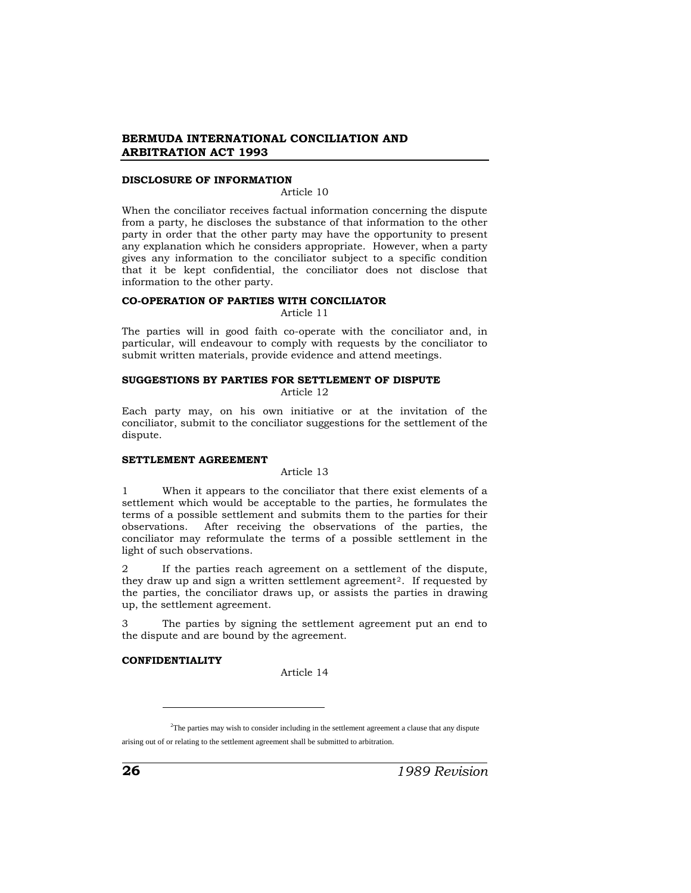## **DISCLOSURE OF INFORMATION**

Article 10

When the conciliator receives factual information concerning the dispute from a party, he discloses the substance of that information to the other party in order that the other party may have the opportunity to present any explanation which he considers appropriate. However, when a party gives any information to the conciliator subject to a specific condition that it be kept confidential, the conciliator does not disclose that information to the other party.

## **CO-OPERATION OF PARTIES WITH CONCILIATOR**

Article 11

The parties will in good faith co-operate with the conciliator and, in particular, will endeavour to comply with requests by the conciliator to submit written materials, provide evidence and attend meetings.

## **SUGGESTIONS BY PARTIES FOR SETTLEMENT OF DISPUTE**  Article 12

Each party may, on his own initiative or at the invitation of the conciliator, submit to the conciliator suggestions for the settlement of the dispute.

## **SETTLEMENT AGREEMENT**

## Article 13

1 When it appears to the conciliator that there exist elements of a settlement which would be acceptable to the parties, he formulates the terms of a possible settlement and submits them to the parties for their observations. After receiving the observations of the parties, the After receiving the observations of the parties, the conciliator may reformulate the terms of a possible settlement in the light of such observations.

2 If the parties reach agreement on a settlement of the dispute, they draw up and sign a written settlement agreement[2](#page-25-0). If requested by the parties, the conciliator draws up, or assists the parties in drawing up, the settlement agreement.

3 The parties by signing the settlement agreement put an end to the dispute and are bound by the agreement.

#### **CONFIDENTIALITY**

l

Article 14

<span id="page-25-0"></span> $2$ The parties may wish to consider including in the settlement agreement a clause that any dispute arising out of or relating to the settlement agreement shall be submitted to arbitration.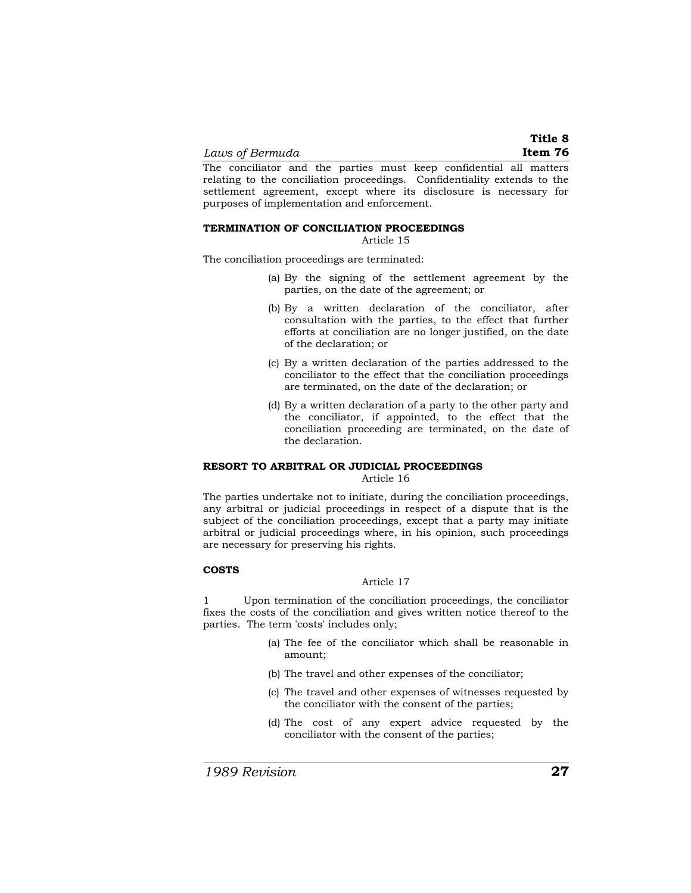The conciliator and the parties must keep confidential all matters relating to the conciliation proceedings. Confidentiality extends to the settlement agreement, except where its disclosure is necessary for purposes of implementation and enforcement.

## **TERMINATION OF CONCILIATION PROCEEDINGS**

Article 15

The conciliation proceedings are terminated:

- (a) By the signing of the settlement agreement by the parties, on the date of the agreement; or
- (b) By a written declaration of the conciliator, after consultation with the parties, to the effect that further efforts at conciliation are no longer justified, on the date of the declaration; or
- (c) By a written declaration of the parties addressed to the conciliator to the effect that the conciliation proceedings are terminated, on the date of the declaration; or
- (d) By a written declaration of a party to the other party and the conciliator, if appointed, to the effect that the conciliation proceeding are terminated, on the date of the declaration.

## **RESORT TO ARBITRAL OR JUDICIAL PROCEEDINGS**

#### Article 16

The parties undertake not to initiate, during the conciliation proceedings, any arbitral or judicial proceedings in respect of a dispute that is the subject of the conciliation proceedings, except that a party may initiate arbitral or judicial proceedings where, in his opinion, such proceedings are necessary for preserving his rights.

## **COSTS**

## Article 17

1 Upon termination of the conciliation proceedings, the conciliator fixes the costs of the conciliation and gives written notice thereof to the parties. The term 'costs' includes only;

- (a) The fee of the conciliator which shall be reasonable in amount;
- (b) The travel and other expenses of the conciliator;
- (c) The travel and other expenses of witnesses requested by the conciliator with the consent of the parties;
- (d) The cost of any expert advice requested by the conciliator with the consent of the parties;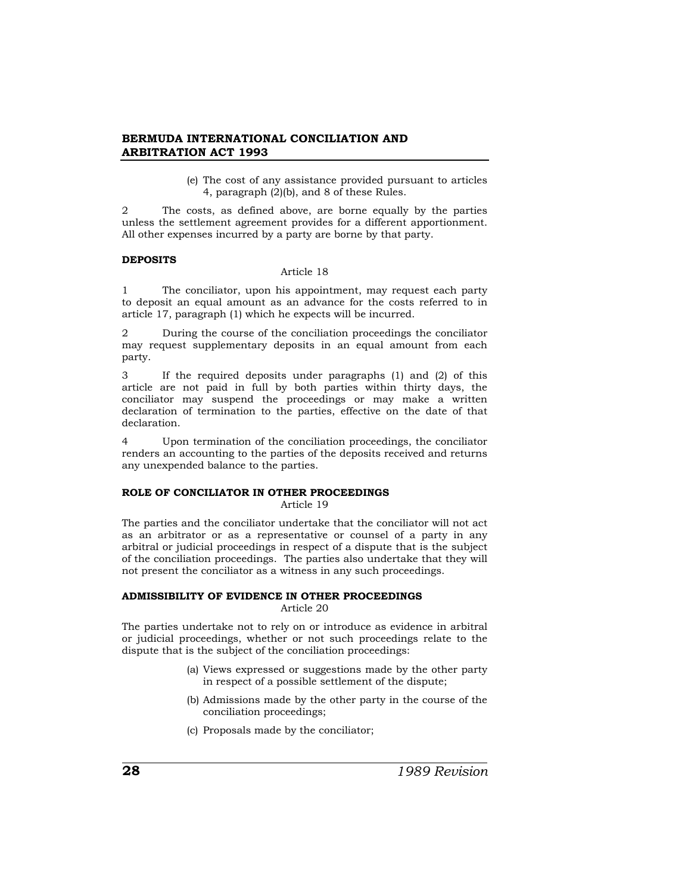(e) The cost of any assistance provided pursuant to articles 4, paragraph (2)(b), and 8 of these Rules.

2 The costs, as defined above, are borne equally by the parties unless the settlement agreement provides for a different apportionment. All other expenses incurred by a party are borne by that party.

## **DEPOSITS**

## Article 18

1 The conciliator, upon his appointment, may request each party to deposit an equal amount as an advance for the costs referred to in article 17, paragraph (1) which he expects will be incurred.

2 During the course of the conciliation proceedings the conciliator may request supplementary deposits in an equal amount from each party.

3 If the required deposits under paragraphs (1) and (2) of this article are not paid in full by both parties within thirty days, the conciliator may suspend the proceedings or may make a written declaration of termination to the parties, effective on the date of that declaration.

4 Upon termination of the conciliation proceedings, the conciliator renders an accounting to the parties of the deposits received and returns any unexpended balance to the parties.

## **ROLE OF CONCILIATOR IN OTHER PROCEEDINGS**

Article 19

The parties and the conciliator undertake that the conciliator will not act as an arbitrator or as a representative or counsel of a party in any arbitral or judicial proceedings in respect of a dispute that is the subject of the conciliation proceedings. The parties also undertake that they will not present the conciliator as a witness in any such proceedings.

#### **ADMISSIBILITY OF EVIDENCE IN OTHER PROCEEDINGS**  Article 20

The parties undertake not to rely on or introduce as evidence in arbitral or judicial proceedings, whether or not such proceedings relate to the dispute that is the subject of the conciliation proceedings:

- (a) Views expressed or suggestions made by the other party in respect of a possible settlement of the dispute;
- (b) Admissions made by the other party in the course of the conciliation proceedings;
- (c) Proposals made by the conciliator;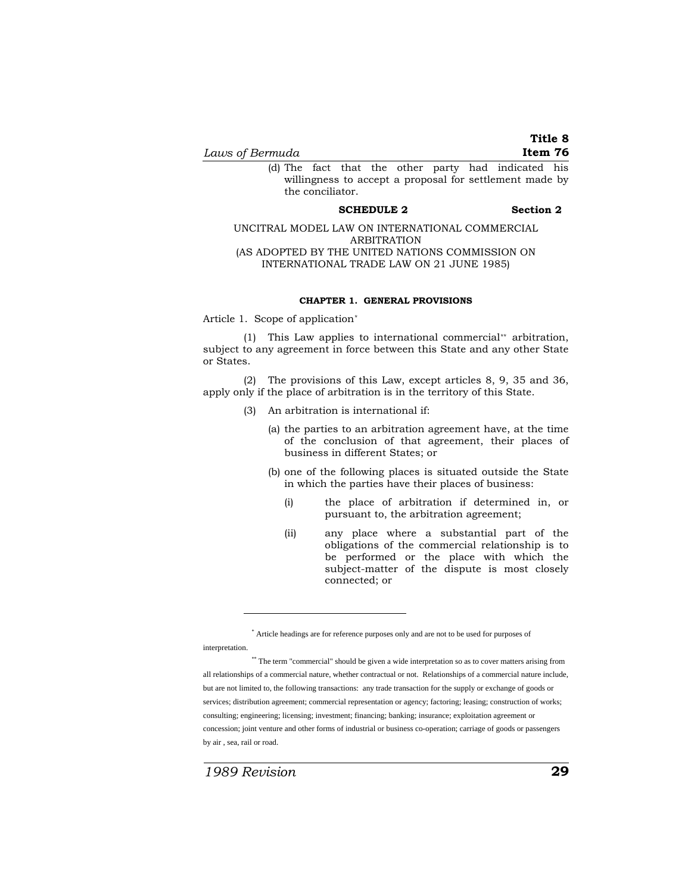*Laws of Bermuda* **Item 76**

(d) The fact that the other party had indicated his willingness to accept a proposal for settlement made by the conciliator.

## **SCHEDULE 2** Section 2

UNCITRAL MODEL LAW ON INTERNATIONAL COMMERCIAL ARBITRATION

(AS ADOPTED BY THE UNITED NATIONS COMMISSION ON INTERNATIONAL TRADE LAW ON 21 JUNE 1985)

#### **CHAPTER 1. GENERAL PROVISIONS**

Article 1. Scope of application[\\*](#page-28-0)

(1) This Law applies to international commercial[\\*\\*](#page-28-1) arbitration, subject to any agreement in force between this State and any other State or States.

(2) The provisions of this Law, except articles 8, 9, 35 and 36, apply only if the place of arbitration is in the territory of this State.

- (3) An arbitration is international if:
	- (a) the parties to an arbitration agreement have, at the time of the conclusion of that agreement, their places of business in different States; or
	- (b) one of the following places is situated outside the State in which the parties have their places of business:
		- (i) the place of arbitration if determined in, or pursuant to, the arbitration agreement;
		- (ii) any place where a substantial part of the obligations of the commercial relationship is to be performed or the place with which the subject-matter of the dispute is most closely connected; or

j

<span id="page-28-0"></span><sup>\*</sup> Article headings are for reference purposes only and are not to be used for purposes of interpretation.

<span id="page-28-1"></span><sup>\*\*</sup> The term "commercial" should be given a wide interpretation so as to cover matters arising from all relationships of a commercial nature, whether contractual or not. Relationships of a commercial nature include, but are not limited to, the following transactions: any trade transaction for the supply or exchange of goods or services; distribution agreement; commercial representation or agency; factoring; leasing; construction of works; consulting; engineering; licensing; investment; financing; banking; insurance; exploitation agreement or concession; joint venture and other forms of industrial or business co-operation; carriage of goods or passengers by air , sea, rail or road.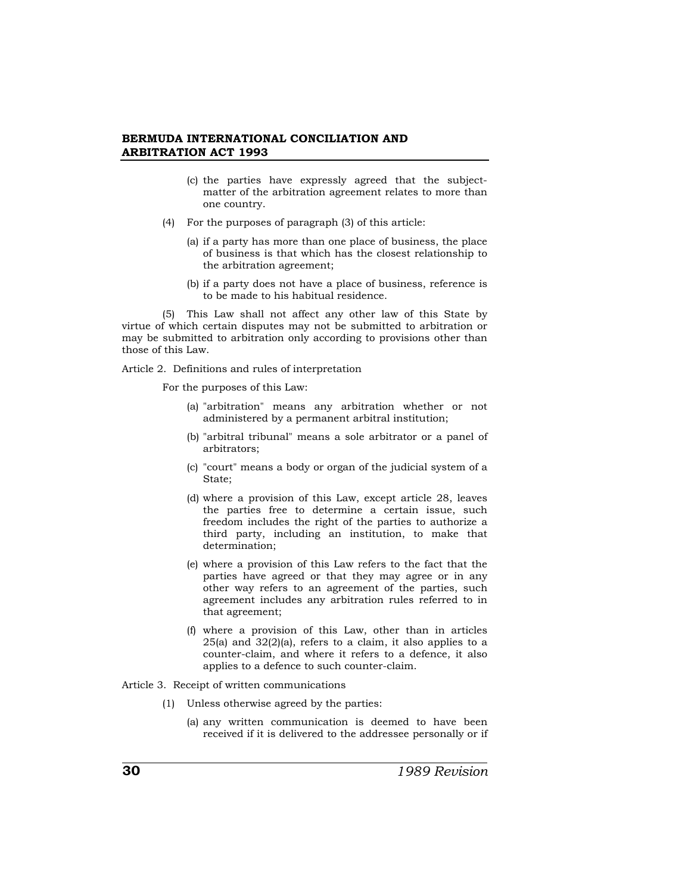- (c) the parties have expressly agreed that the subjectmatter of the arbitration agreement relates to more than one country.
- (4) For the purposes of paragraph (3) of this article:
	- (a) if a party has more than one place of business, the place of business is that which has the closest relationship to the arbitration agreement;
	- (b) if a party does not have a place of business, reference is to be made to his habitual residence.

(5) This Law shall not affect any other law of this State by virtue of which certain disputes may not be submitted to arbitration or may be submitted to arbitration only according to provisions other than those of this Law.

Article 2. Definitions and rules of interpretation

For the purposes of this Law:

- (a) "arbitration" means any arbitration whether or not administered by a permanent arbitral institution;
- (b) "arbitral tribunal" means a sole arbitrator or a panel of arbitrators;
- (c) "court" means a body or organ of the judicial system of a State;
- (d) where a provision of this Law, except article 28, leaves the parties free to determine a certain issue, such freedom includes the right of the parties to authorize a third party, including an institution, to make that determination;
- (e) where a provision of this Law refers to the fact that the parties have agreed or that they may agree or in any other way refers to an agreement of the parties, such agreement includes any arbitration rules referred to in that agreement;
- (f) where a provision of this Law, other than in articles  $25(a)$  and  $32(2)(a)$ , refers to a claim, it also applies to a counter-claim, and where it refers to a defence, it also applies to a defence to such counter-claim.
- Article 3. Receipt of written communications
	- (1) Unless otherwise agreed by the parties:
		- (a) any written communication is deemed to have been received if it is delivered to the addressee personally or if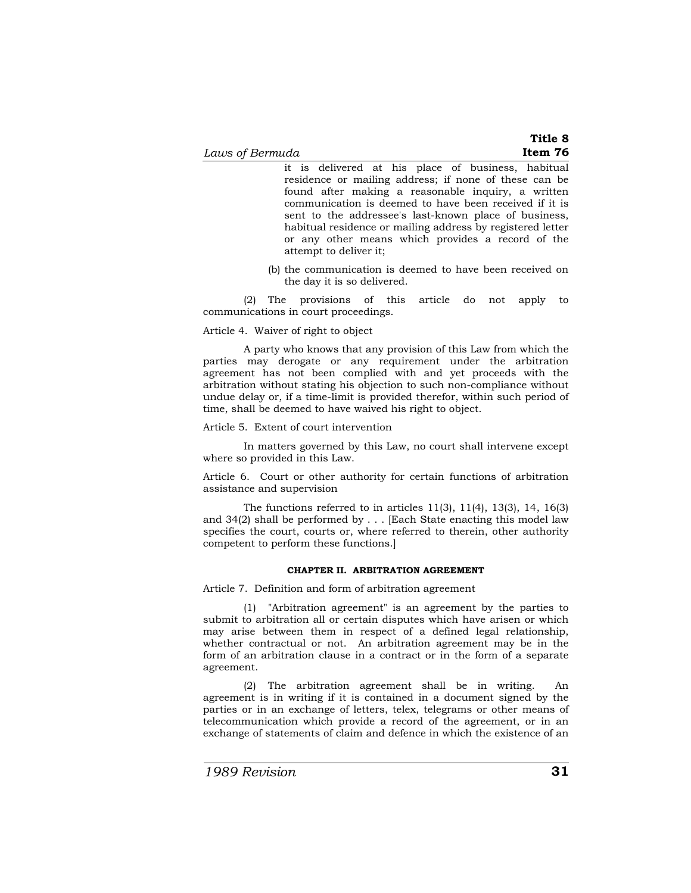- it is delivered at his place of business, habitual residence or mailing address; if none of these can be found after making a reasonable inquiry, a written communication is deemed to have been received if it is sent to the addressee's last-known place of business, habitual residence or mailing address by registered letter or any other means which provides a record of the attempt to deliver it;
- (b) the communication is deemed to have been received on the day it is so delivered.

(2) The provisions of this article do not apply to communications in court proceedings.

Article 4. Waiver of right to object

A party who knows that any provision of this Law from which the parties may derogate or any requirement under the arbitration agreement has not been complied with and yet proceeds with the arbitration without stating his objection to such non-compliance without undue delay or, if a time-limit is provided therefor, within such period of time, shall be deemed to have waived his right to object.

Article 5. Extent of court intervention

In matters governed by this Law, no court shall intervene except where so provided in this Law.

Article 6. Court or other authority for certain functions of arbitration assistance and supervision

The functions referred to in articles 11(3), 11(4), 13(3), 14, 16(3) and 34(2) shall be performed by . . . [Each State enacting this model law specifies the court, courts or, where referred to therein, other authority competent to perform these functions.]

## **CHAPTER II. ARBITRATION AGREEMENT**

Article 7. Definition and form of arbitration agreement

(1) "Arbitration agreement" is an agreement by the parties to submit to arbitration all or certain disputes which have arisen or which may arise between them in respect of a defined legal relationship, whether contractual or not. An arbitration agreement may be in the form of an arbitration clause in a contract or in the form of a separate agreement.

(2) The arbitration agreement shall be in writing. An agreement is in writing if it is contained in a document signed by the parties or in an exchange of letters, telex, telegrams or other means of telecommunication which provide a record of the agreement, or in an exchange of statements of claim and defence in which the existence of an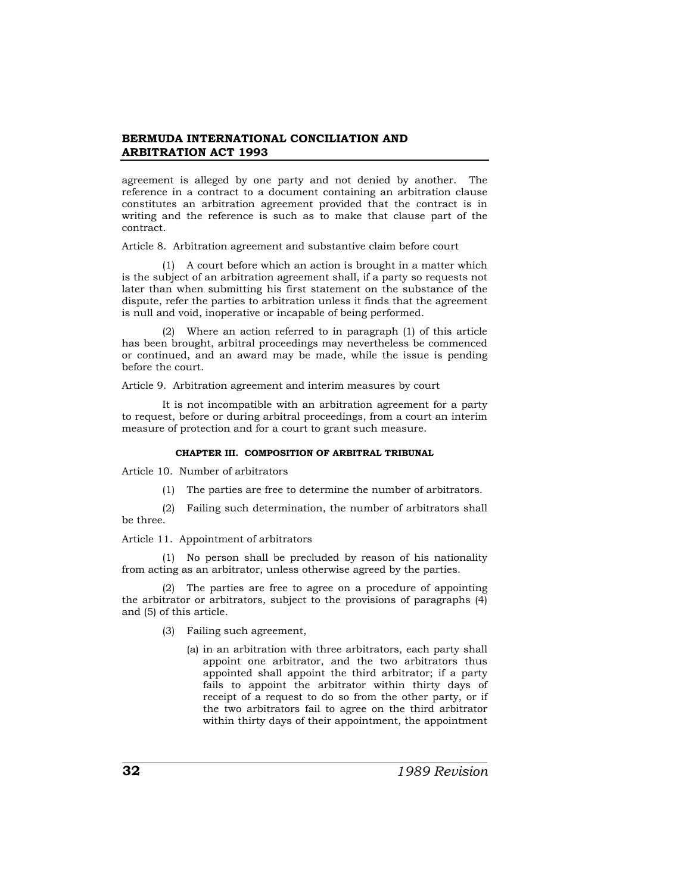agreement is alleged by one party and not denied by another. The reference in a contract to a document containing an arbitration clause constitutes an arbitration agreement provided that the contract is in writing and the reference is such as to make that clause part of the contract.

Article 8. Arbitration agreement and substantive claim before court

(1) A court before which an action is brought in a matter which is the subject of an arbitration agreement shall, if a party so requests not later than when submitting his first statement on the substance of the dispute, refer the parties to arbitration unless it finds that the agreement is null and void, inoperative or incapable of being performed.

(2) Where an action referred to in paragraph (1) of this article has been brought, arbitral proceedings may nevertheless be commenced or continued, and an award may be made, while the issue is pending before the court.

Article 9. Arbitration agreement and interim measures by court

It is not incompatible with an arbitration agreement for a party to request, before or during arbitral proceedings, from a court an interim measure of protection and for a court to grant such measure.

#### **CHAPTER III. COMPOSITION OF ARBITRAL TRIBUNAL**

Article 10. Number of arbitrators

(1) The parties are free to determine the number of arbitrators.

(2) Failing such determination, the number of arbitrators shall be three.

Article 11. Appointment of arbitrators

(1) No person shall be precluded by reason of his nationality from acting as an arbitrator, unless otherwise agreed by the parties.

(2) The parties are free to agree on a procedure of appointing the arbitrator or arbitrators, subject to the provisions of paragraphs (4) and (5) of this article.

(3) Failing such agreement,

(a) in an arbitration with three arbitrators, each party shall appoint one arbitrator, and the two arbitrators thus appointed shall appoint the third arbitrator; if a party fails to appoint the arbitrator within thirty days of receipt of a request to do so from the other party, or if the two arbitrators fail to agree on the third arbitrator within thirty days of their appointment, the appointment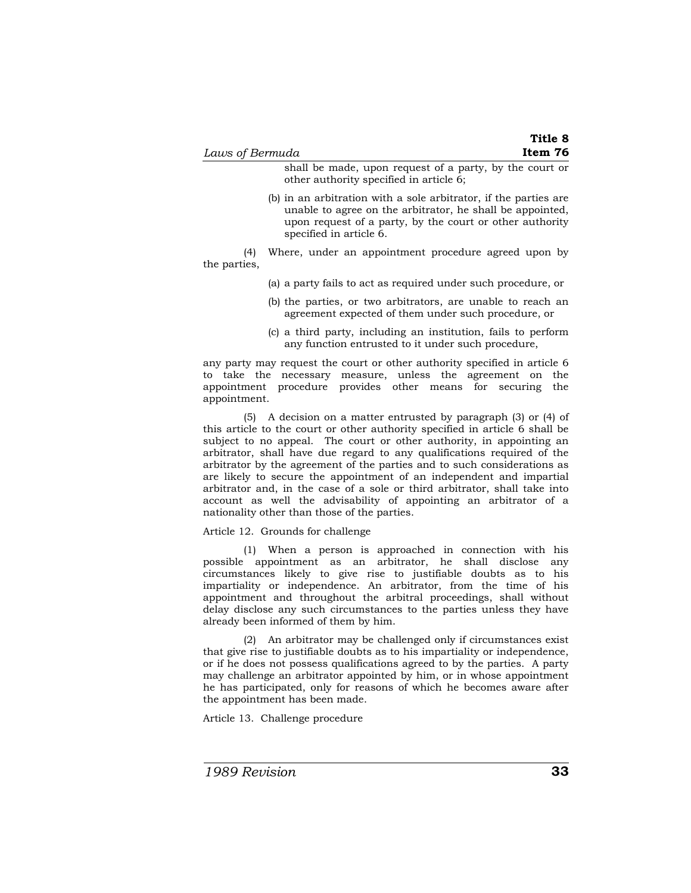| Laws of Bermuda |  |  |
|-----------------|--|--|
|                 |  |  |

shall be made, upon request of a party, by the court or other authority specified in article 6;

(b) in an arbitration with a sole arbitrator, if the parties are unable to agree on the arbitrator, he shall be appointed, upon request of a party, by the court or other authority specified in article 6.

(4) Where, under an appointment procedure agreed upon by the parties,

- (a) a party fails to act as required under such procedure, or
- (b) the parties, or two arbitrators, are unable to reach an agreement expected of them under such procedure, or
- (c) a third party, including an institution, fails to perform any function entrusted to it under such procedure,

any party may request the court or other authority specified in article 6 to take the necessary measure, unless the agreement on the appointment procedure provides other means for securing the appointment.

(5) A decision on a matter entrusted by paragraph (3) or (4) of this article to the court or other authority specified in article 6 shall be subject to no appeal. The court or other authority, in appointing an arbitrator, shall have due regard to any qualifications required of the arbitrator by the agreement of the parties and to such considerations as are likely to secure the appointment of an independent and impartial arbitrator and, in the case of a sole or third arbitrator, shall take into account as well the advisability of appointing an arbitrator of a nationality other than those of the parties.

Article 12. Grounds for challenge

(1) When a person is approached in connection with his possible appointment as an arbitrator, he shall disclose any circumstances likely to give rise to justifiable doubts as to his impartiality or independence. An arbitrator, from the time of his appointment and throughout the arbitral proceedings, shall without delay disclose any such circumstances to the parties unless they have already been informed of them by him.

(2) An arbitrator may be challenged only if circumstances exist that give rise to justifiable doubts as to his impartiality or independence, or if he does not possess qualifications agreed to by the parties. A party may challenge an arbitrator appointed by him, or in whose appointment he has participated, only for reasons of which he becomes aware after the appointment has been made.

Article 13. Challenge procedure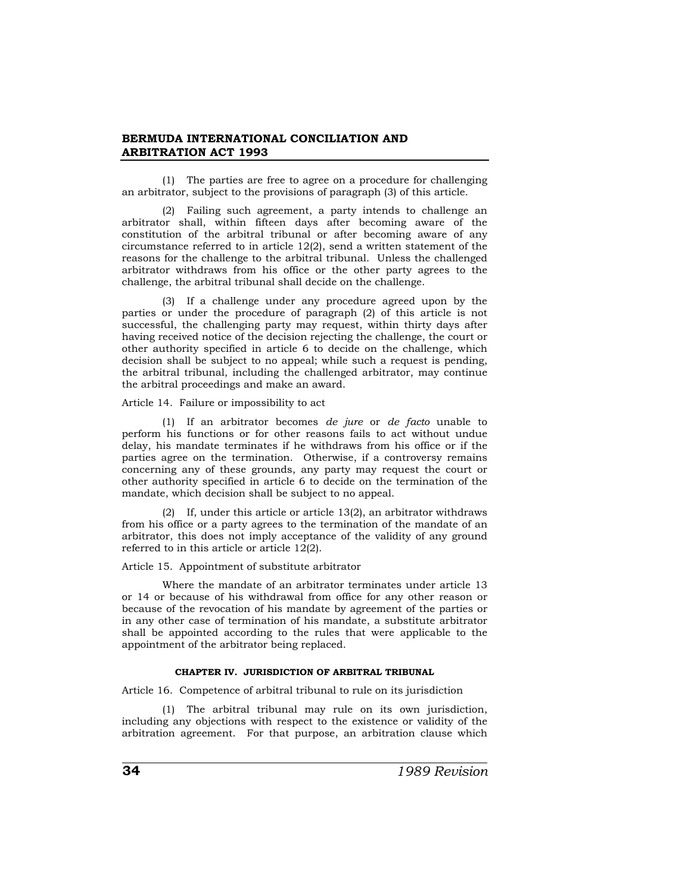(1) The parties are free to agree on a procedure for challenging an arbitrator, subject to the provisions of paragraph (3) of this article.

(2) Failing such agreement, a party intends to challenge an arbitrator shall, within fifteen days after becoming aware of the constitution of the arbitral tribunal or after becoming aware of any circumstance referred to in article 12(2), send a written statement of the reasons for the challenge to the arbitral tribunal. Unless the challenged arbitrator withdraws from his office or the other party agrees to the challenge, the arbitral tribunal shall decide on the challenge.

(3) If a challenge under any procedure agreed upon by the parties or under the procedure of paragraph (2) of this article is not successful, the challenging party may request, within thirty days after having received notice of the decision rejecting the challenge, the court or other authority specified in article 6 to decide on the challenge, which decision shall be subject to no appeal; while such a request is pending, the arbitral tribunal, including the challenged arbitrator, may continue the arbitral proceedings and make an award.

Article 14. Failure or impossibility to act

(1) If an arbitrator becomes *de jure* or *de facto* unable to perform his functions or for other reasons fails to act without undue delay, his mandate terminates if he withdraws from his office or if the parties agree on the termination. Otherwise, if a controversy remains concerning any of these grounds, any party may request the court or other authority specified in article 6 to decide on the termination of the mandate, which decision shall be subject to no appeal.

(2) If, under this article or article 13(2), an arbitrator withdraws from his office or a party agrees to the termination of the mandate of an arbitrator, this does not imply acceptance of the validity of any ground referred to in this article or article 12(2).

#### Article 15. Appointment of substitute arbitrator

Where the mandate of an arbitrator terminates under article 13 or 14 or because of his withdrawal from office for any other reason or because of the revocation of his mandate by agreement of the parties or in any other case of termination of his mandate, a substitute arbitrator shall be appointed according to the rules that were applicable to the appointment of the arbitrator being replaced.

## **CHAPTER IV. JURISDICTION OF ARBITRAL TRIBUNAL**

Article 16. Competence of arbitral tribunal to rule on its jurisdiction

(1) The arbitral tribunal may rule on its own jurisdiction, including any objections with respect to the existence or validity of the arbitration agreement. For that purpose, an arbitration clause which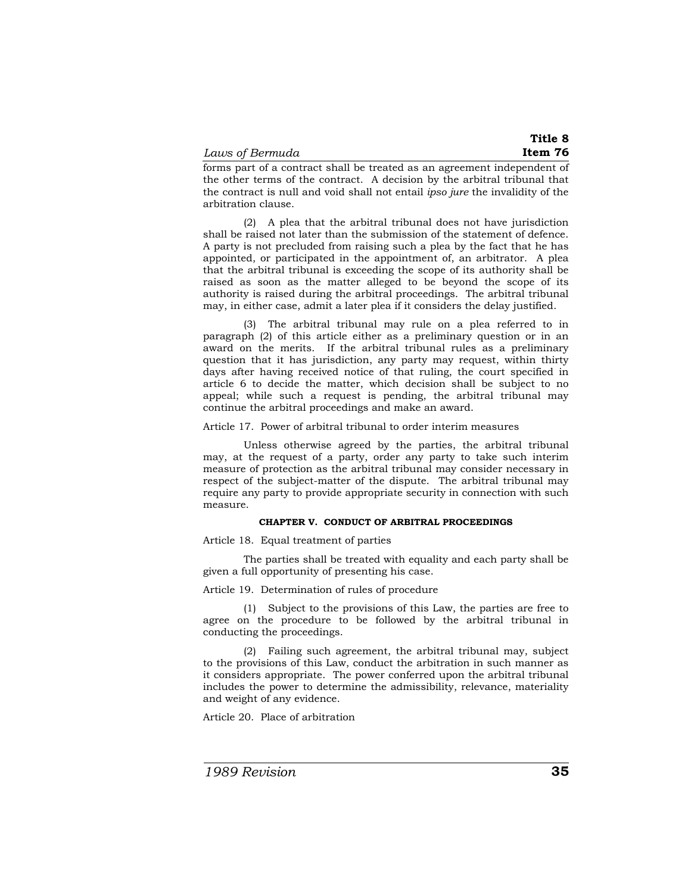|  | Laws of Bermuda |
|--|-----------------|
|--|-----------------|

forms part of a contract shall be treated as an agreement independent of the other terms of the contract. A decision by the arbitral tribunal that the contract is null and void shall not entail *ipso jure* the invalidity of the arbitration clause.

(2) A plea that the arbitral tribunal does not have jurisdiction shall be raised not later than the submission of the statement of defence. A party is not precluded from raising such a plea by the fact that he has appointed, or participated in the appointment of, an arbitrator. A plea that the arbitral tribunal is exceeding the scope of its authority shall be raised as soon as the matter alleged to be beyond the scope of its authority is raised during the arbitral proceedings. The arbitral tribunal may, in either case, admit a later plea if it considers the delay justified.

(3) The arbitral tribunal may rule on a plea referred to in paragraph (2) of this article either as a preliminary question or in an award on the merits. If the arbitral tribunal rules as a preliminary question that it has jurisdiction, any party may request, within thirty days after having received notice of that ruling, the court specified in article 6 to decide the matter, which decision shall be subject to no appeal; while such a request is pending, the arbitral tribunal may continue the arbitral proceedings and make an award.

Article 17. Power of arbitral tribunal to order interim measures

Unless otherwise agreed by the parties, the arbitral tribunal may, at the request of a party, order any party to take such interim measure of protection as the arbitral tribunal may consider necessary in respect of the subject-matter of the dispute. The arbitral tribunal may require any party to provide appropriate security in connection with such measure.

## **CHAPTER V. CONDUCT OF ARBITRAL PROCEEDINGS**

Article 18. Equal treatment of parties

The parties shall be treated with equality and each party shall be given a full opportunity of presenting his case.

Article 19. Determination of rules of procedure

(1) Subject to the provisions of this Law, the parties are free to agree on the procedure to be followed by the arbitral tribunal in conducting the proceedings.

(2) Failing such agreement, the arbitral tribunal may, subject to the provisions of this Law, conduct the arbitration in such manner as it considers appropriate. The power conferred upon the arbitral tribunal includes the power to determine the admissibility, relevance, materiality and weight of any evidence.

Article 20. Place of arbitration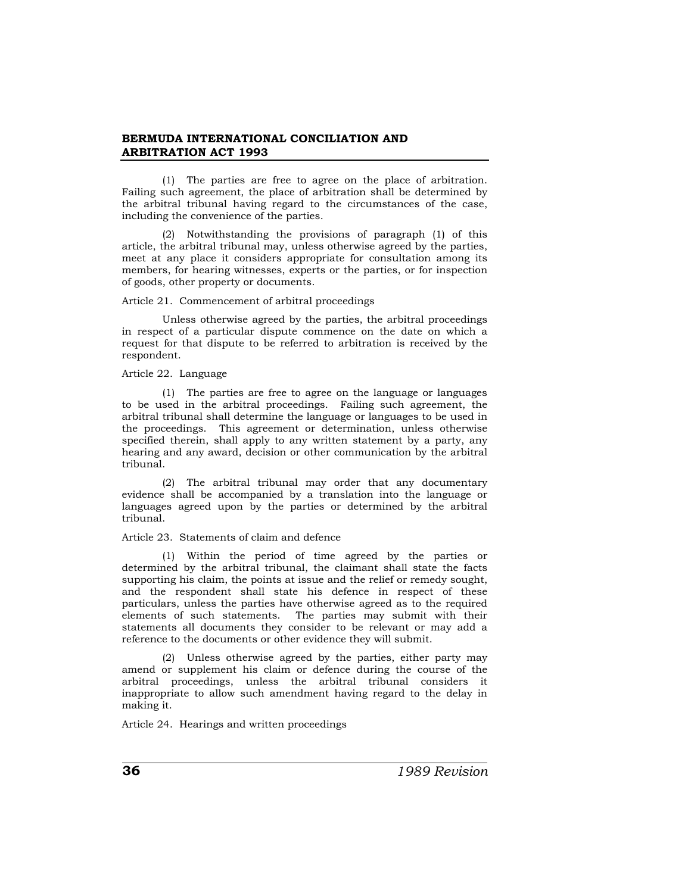(1) The parties are free to agree on the place of arbitration. Failing such agreement, the place of arbitration shall be determined by the arbitral tribunal having regard to the circumstances of the case, including the convenience of the parties.

(2) Notwithstanding the provisions of paragraph (1) of this article, the arbitral tribunal may, unless otherwise agreed by the parties, meet at any place it considers appropriate for consultation among its members, for hearing witnesses, experts or the parties, or for inspection of goods, other property or documents.

Article 21. Commencement of arbitral proceedings

Unless otherwise agreed by the parties, the arbitral proceedings in respect of a particular dispute commence on the date on which a request for that dispute to be referred to arbitration is received by the respondent.

Article 22. Language

(1) The parties are free to agree on the language or languages to be used in the arbitral proceedings. Failing such agreement, the arbitral tribunal shall determine the language or languages to be used in the proceedings. This agreement or determination, unless otherwise specified therein, shall apply to any written statement by a party, any hearing and any award, decision or other communication by the arbitral tribunal.

(2) The arbitral tribunal may order that any documentary evidence shall be accompanied by a translation into the language or languages agreed upon by the parties or determined by the arbitral tribunal.

Article 23. Statements of claim and defence

(1) Within the period of time agreed by the parties or determined by the arbitral tribunal, the claimant shall state the facts supporting his claim, the points at issue and the relief or remedy sought, and the respondent shall state his defence in respect of these particulars, unless the parties have otherwise agreed as to the required elements of such statements. The parties may submit with their statements all documents they consider to be relevant or may add a reference to the documents or other evidence they will submit.

(2) Unless otherwise agreed by the parties, either party may amend or supplement his claim or defence during the course of the arbitral proceedings, unless the arbitral tribunal considers it inappropriate to allow such amendment having regard to the delay in making it.

Article 24. Hearings and written proceedings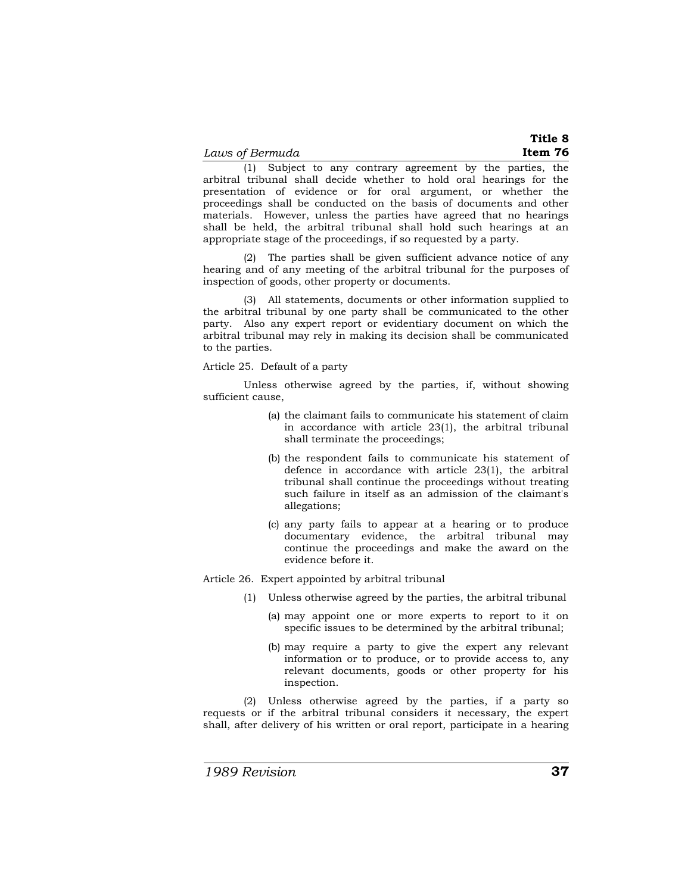| Laws of Bermuda | Item 76 |  |
|-----------------|---------|--|
|-----------------|---------|--|

(1) Subject to any contrary agreement by the parties, the arbitral tribunal shall decide whether to hold oral hearings for the presentation of evidence or for oral argument, or whether the proceedings shall be conducted on the basis of documents and other materials. However, unless the parties have agreed that no hearings shall be held, the arbitral tribunal shall hold such hearings at an appropriate stage of the proceedings, if so requested by a party.

(2) The parties shall be given sufficient advance notice of any hearing and of any meeting of the arbitral tribunal for the purposes of inspection of goods, other property or documents.

(3) All statements, documents or other information supplied to the arbitral tribunal by one party shall be communicated to the other party. Also any expert report or evidentiary document on which the arbitral tribunal may rely in making its decision shall be communicated to the parties.

Article 25. Default of a party

Unless otherwise agreed by the parties, if, without showing sufficient cause,

- (a) the claimant fails to communicate his statement of claim in accordance with article 23(1), the arbitral tribunal shall terminate the proceedings;
- (b) the respondent fails to communicate his statement of defence in accordance with article 23(1), the arbitral tribunal shall continue the proceedings without treating such failure in itself as an admission of the claimant's allegations;
- (c) any party fails to appear at a hearing or to produce documentary evidence, the arbitral tribunal may continue the proceedings and make the award on the evidence before it.

Article 26. Expert appointed by arbitral tribunal

- (1) Unless otherwise agreed by the parties, the arbitral tribunal
	- (a) may appoint one or more experts to report to it on specific issues to be determined by the arbitral tribunal;
	- (b) may require a party to give the expert any relevant information or to produce, or to provide access to, any relevant documents, goods or other property for his inspection.

(2) Unless otherwise agreed by the parties, if a party so requests or if the arbitral tribunal considers it necessary, the expert shall, after delivery of his written or oral report, participate in a hearing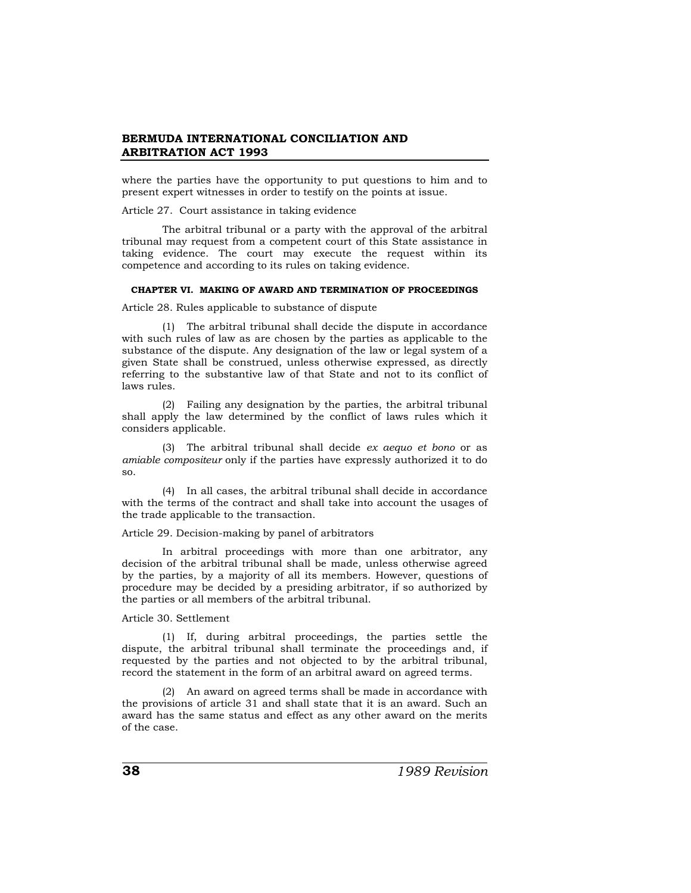where the parties have the opportunity to put questions to him and to present expert witnesses in order to testify on the points at issue.

Article 27. Court assistance in taking evidence

The arbitral tribunal or a party with the approval of the arbitral tribunal may request from a competent court of this State assistance in taking evidence. The court may execute the request within its competence and according to its rules on taking evidence.

#### **CHAPTER VI. MAKING OF AWARD AND TERMINATION OF PROCEEDINGS**

Article 28. Rules applicable to substance of dispute

(1) The arbitral tribunal shall decide the dispute in accordance with such rules of law as are chosen by the parties as applicable to the substance of the dispute. Any designation of the law or legal system of a given State shall be construed, unless otherwise expressed, as directly referring to the substantive law of that State and not to its conflict of laws rules.

(2) Failing any designation by the parties, the arbitral tribunal shall apply the law determined by the conflict of laws rules which it considers applicable.

(3) The arbitral tribunal shall decide *ex aequo et bono* or as *amiable compositeur* only if the parties have expressly authorized it to do so.

(4) In all cases, the arbitral tribunal shall decide in accordance with the terms of the contract and shall take into account the usages of the trade applicable to the transaction.

## Article 29. Decision-making by panel of arbitrators

In arbitral proceedings with more than one arbitrator, any decision of the arbitral tribunal shall be made, unless otherwise agreed by the parties, by a majority of all its members. However, questions of procedure may be decided by a presiding arbitrator, if so authorized by the parties or all members of the arbitral tribunal.

#### Article 30. Settlement

(1) If, during arbitral proceedings, the parties settle the dispute, the arbitral tribunal shall terminate the proceedings and, if requested by the parties and not objected to by the arbitral tribunal, record the statement in the form of an arbitral award on agreed terms.

(2) An award on agreed terms shall be made in accordance with the provisions of article 31 and shall state that it is an award. Such an award has the same status and effect as any other award on the merits of the case.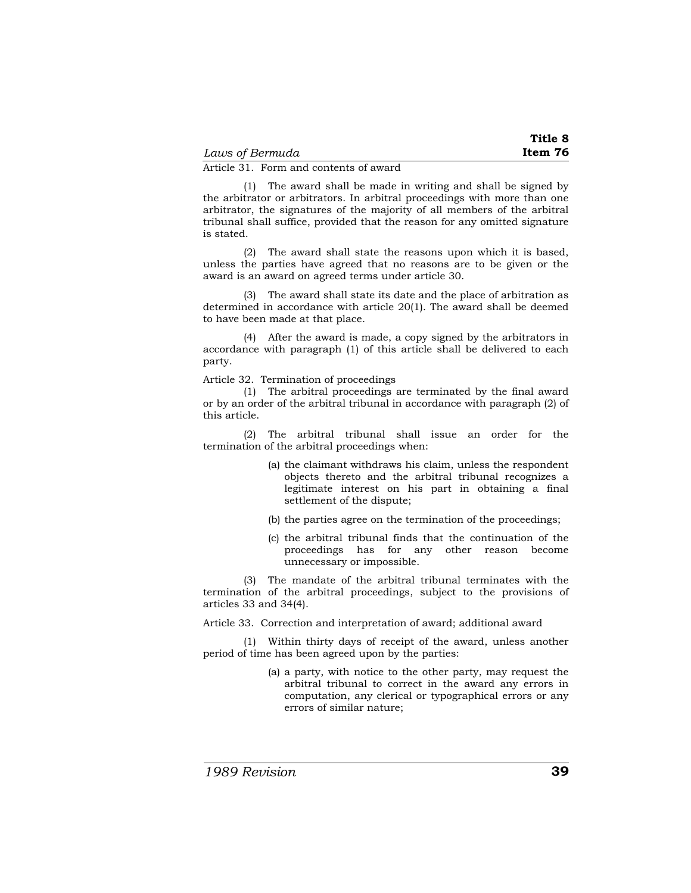|                                                                                                                                                                                                                                                                                                                                                                                                                                                             | IILIV U |
|-------------------------------------------------------------------------------------------------------------------------------------------------------------------------------------------------------------------------------------------------------------------------------------------------------------------------------------------------------------------------------------------------------------------------------------------------------------|---------|
| Laws of Bermuda                                                                                                                                                                                                                                                                                                                                                                                                                                             | Item 76 |
| $\lambda$ , $\lambda$ , $\lambda$ , $\lambda$ , $\lambda$ , $\lambda$ , $\lambda$ , $\lambda$ , $\lambda$ , $\lambda$ , $\lambda$ , $\lambda$ , $\lambda$ , $\lambda$ , $\lambda$ , $\lambda$ , $\lambda$ , $\lambda$ , $\lambda$ , $\lambda$ , $\lambda$ , $\lambda$ , $\lambda$ , $\lambda$ , $\lambda$ , $\lambda$ , $\lambda$ , $\lambda$ , $\lambda$ , $\lambda$ , $\lambda$ , $\lambda$ , $\lambda$ , $\lambda$ , $\lambda$ , $\lambda$ , $\lambda$ , |         |

Article 31. Form and contents of award

(1) The award shall be made in writing and shall be signed by the arbitrator or arbitrators. In arbitral proceedings with more than one arbitrator, the signatures of the majority of all members of the arbitral tribunal shall suffice, provided that the reason for any omitted signature is stated.

(2) The award shall state the reasons upon which it is based, unless the parties have agreed that no reasons are to be given or the award is an award on agreed terms under article 30.

(3) The award shall state its date and the place of arbitration as determined in accordance with article 20(1). The award shall be deemed to have been made at that place.

(4) After the award is made, a copy signed by the arbitrators in accordance with paragraph (1) of this article shall be delivered to each party.

Article 32. Termination of proceedings

(1) The arbitral proceedings are terminated by the final award or by an order of the arbitral tribunal in accordance with paragraph (2) of this article.

(2) The arbitral tribunal shall issue an order for the termination of the arbitral proceedings when:

- (a) the claimant withdraws his claim, unless the respondent objects thereto and the arbitral tribunal recognizes a legitimate interest on his part in obtaining a final settlement of the dispute;
- (b) the parties agree on the termination of the proceedings;
- (c) the arbitral tribunal finds that the continuation of the proceedings has for any other reason become unnecessary or impossible.

(3) The mandate of the arbitral tribunal terminates with the termination of the arbitral proceedings, subject to the provisions of articles 33 and 34(4).

Article 33. Correction and interpretation of award; additional award

(1) Within thirty days of receipt of the award, unless another period of time has been agreed upon by the parties:

> (a) a party, with notice to the other party, may request the arbitral tribunal to correct in the award any errors in computation, any clerical or typographical errors or any errors of similar nature;

**Title 8**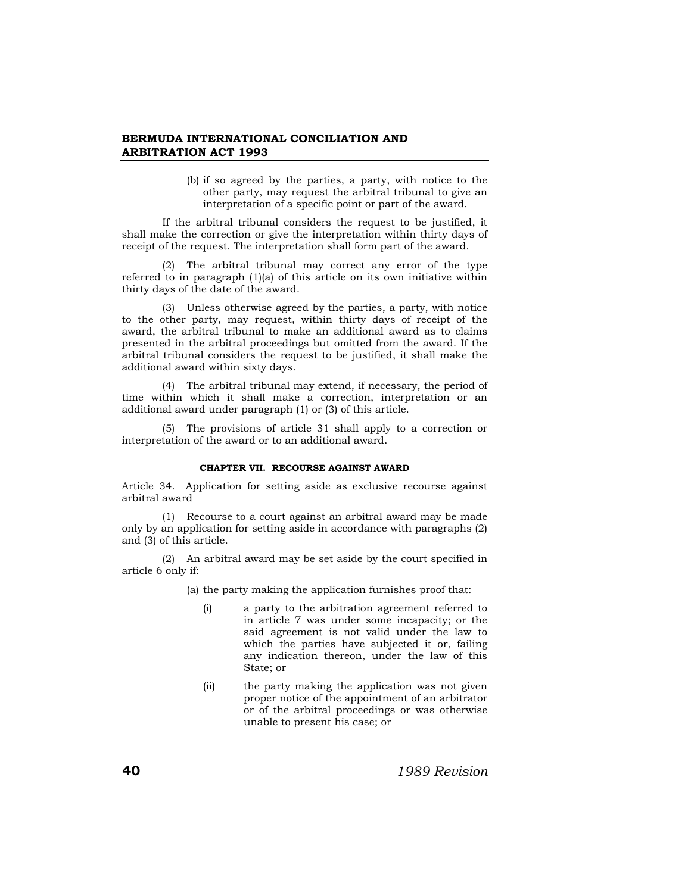(b) if so agreed by the parties, a party, with notice to the other party, may request the arbitral tribunal to give an interpretation of a specific point or part of the award.

If the arbitral tribunal considers the request to be justified, it shall make the correction or give the interpretation within thirty days of receipt of the request. The interpretation shall form part of the award.

(2) The arbitral tribunal may correct any error of the type referred to in paragraph (1)(a) of this article on its own initiative within thirty days of the date of the award.

(3) Unless otherwise agreed by the parties, a party, with notice to the other party, may request, within thirty days of receipt of the award, the arbitral tribunal to make an additional award as to claims presented in the arbitral proceedings but omitted from the award. If the arbitral tribunal considers the request to be justified, it shall make the additional award within sixty days.

(4) The arbitral tribunal may extend, if necessary, the period of time within which it shall make a correction, interpretation or an additional award under paragraph (1) or (3) of this article.

(5) The provisions of article 31 shall apply to a correction or interpretation of the award or to an additional award.

#### **CHAPTER VII. RECOURSE AGAINST AWARD**

Article 34. Application for setting aside as exclusive recourse against arbitral award

(1) Recourse to a court against an arbitral award may be made only by an application for setting aside in accordance with paragraphs (2) and (3) of this article.

(2) An arbitral award may be set aside by the court specified in article 6 only if:

- (a) the party making the application furnishes proof that:
	- (i) a party to the arbitration agreement referred to in article 7 was under some incapacity; or the said agreement is not valid under the law to which the parties have subjected it or, failing any indication thereon, under the law of this State; or
	- (ii) the party making the application was not given proper notice of the appointment of an arbitrator or of the arbitral proceedings or was otherwise unable to present his case; or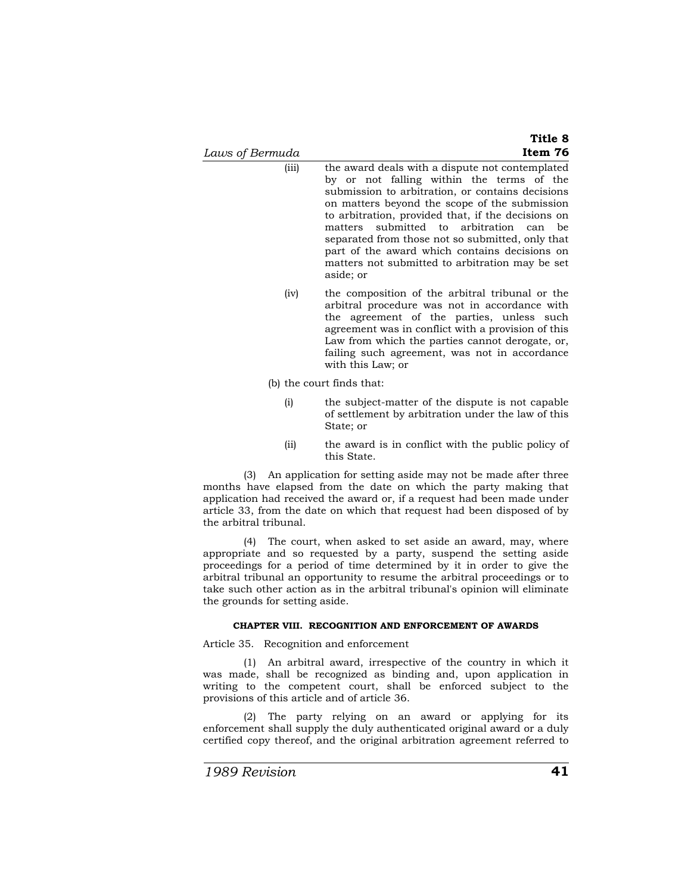*Laws of Bermuda* **Item 76**

| (iii) | the award deals with a dispute not contemplated<br>by or not falling within the terms of the<br>submission to arbitration, or contains decisions<br>on matters beyond the scope of the submission<br>to arbitration, provided that, if the decisions on<br>matters submitted to arbitration can<br>- be<br>separated from those not so submitted, only that<br>part of the award which contains decisions on<br>matters not submitted to arbitration may be set<br>aside; or |
|-------|------------------------------------------------------------------------------------------------------------------------------------------------------------------------------------------------------------------------------------------------------------------------------------------------------------------------------------------------------------------------------------------------------------------------------------------------------------------------------|
| (iv)  | the composition of the arbitral tribunal or the<br>arbitral procedure was not in accordance with<br>the agreement of the parties, unless such<br>agreement was in conflict with a provision of this<br>Law from which the parties cannot derogate, or,<br>failing such agreement, was not in accordance<br>with this Law; or                                                                                                                                                 |

(b) the court finds that:

- (i) the subject-matter of the dispute is not capable of settlement by arbitration under the law of this State; or
- (ii) the award is in conflict with the public policy of this State.

(3) An application for setting aside may not be made after three months have elapsed from the date on which the party making that application had received the award or, if a request had been made under article 33, from the date on which that request had been disposed of by the arbitral tribunal.

(4) The court, when asked to set aside an award, may, where appropriate and so requested by a party, suspend the setting aside proceedings for a period of time determined by it in order to give the arbitral tribunal an opportunity to resume the arbitral proceedings or to take such other action as in the arbitral tribunal's opinion will eliminate the grounds for setting aside.

## **CHAPTER VIII. RECOGNITION AND ENFORCEMENT OF AWARDS**

Article 35. Recognition and enforcement

(1) An arbitral award, irrespective of the country in which it was made, shall be recognized as binding and, upon application in writing to the competent court, shall be enforced subject to the provisions of this article and of article 36.

(2) The party relying on an award or applying for its enforcement shall supply the duly authenticated original award or a duly certified copy thereof, and the original arbitration agreement referred to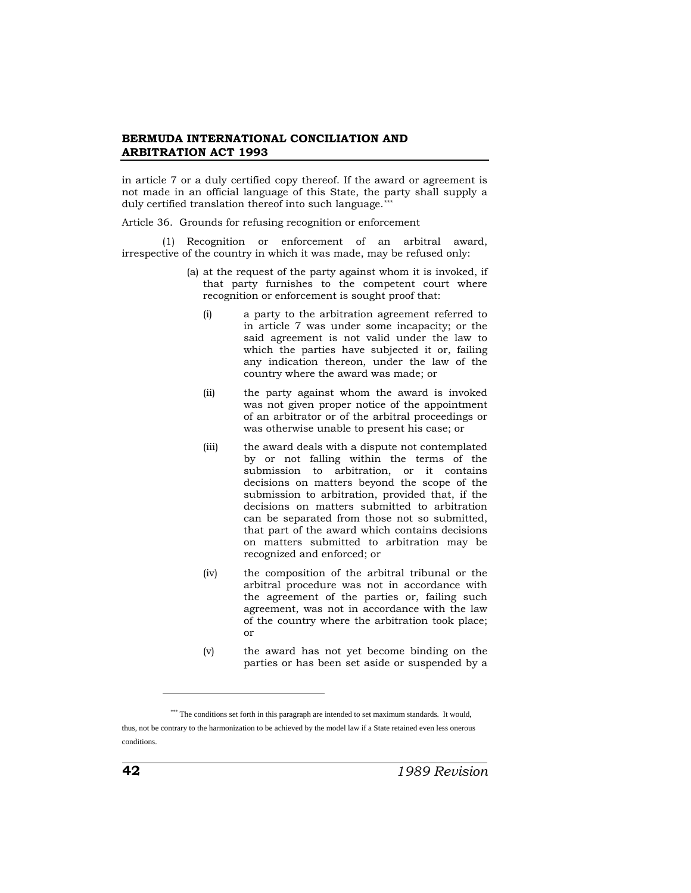in article 7 or a duly certified copy thereof. If the award or agreement is not made in an official language of this State, the party shall supply a duly certified translation thereof into such language.<sup>\*\*</sup>

Article 36. Grounds for refusing recognition or enforcement

(1) Recognition or enforcement of an arbitral award, irrespective of the country in which it was made, may be refused only:

- (a) at the request of the party against whom it is invoked, if that party furnishes to the competent court where recognition or enforcement is sought proof that:
	- (i) a party to the arbitration agreement referred to in article 7 was under some incapacity; or the said agreement is not valid under the law to which the parties have subjected it or, failing any indication thereon, under the law of the country where the award was made; or
	- (ii) the party against whom the award is invoked was not given proper notice of the appointment of an arbitrator or of the arbitral proceedings or was otherwise unable to present his case; or
	- (iii) the award deals with a dispute not contemplated by or not falling within the terms of the submission to arbitration, or it contains decisions on matters beyond the scope of the submission to arbitration, provided that, if the decisions on matters submitted to arbitration can be separated from those not so submitted, that part of the award which contains decisions on matters submitted to arbitration may be recognized and enforced; or
	- (iv) the composition of the arbitral tribunal or the arbitral procedure was not in accordance with the agreement of the parties or, failing such agreement, was not in accordance with the law of the country where the arbitration took place; or
	- (v) the award has not yet become binding on the parties or has been set aside or suspended by a

l

<sup>\*\*\*</sup> The conditions set forth in this paragraph are intended to set maximum standards. It would,

<span id="page-41-0"></span>thus, not be contrary to the harmonization to be achieved by the model law if a State retained even less onerous conditions.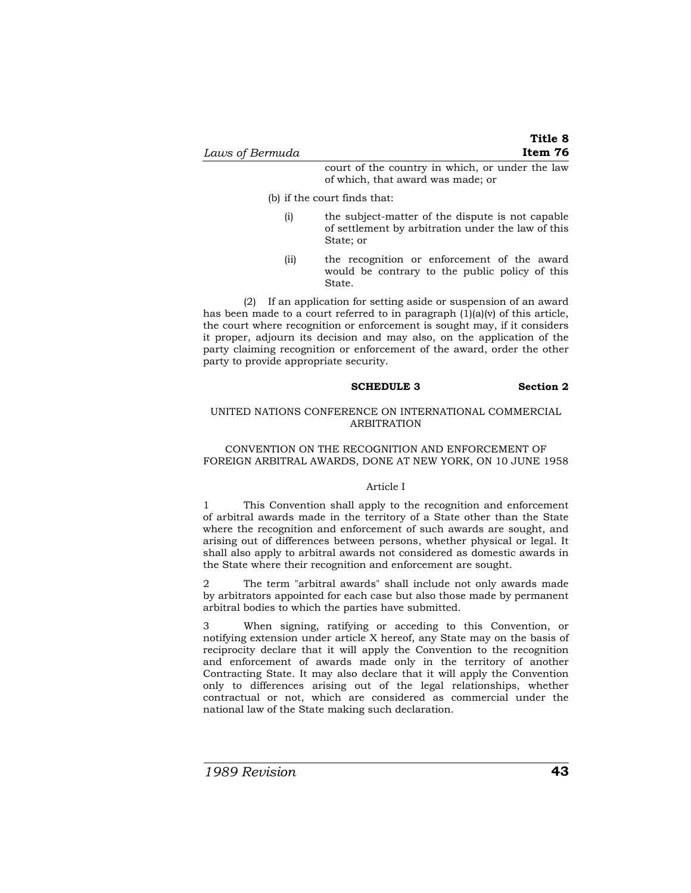| Laws of Bermuda | Title 8<br>Item 76                                                                   |
|-----------------|--------------------------------------------------------------------------------------|
|                 | court of the country in which, or under the law<br>of which, that award was made; or |
|                 | (b) if the court finds that:                                                         |
| (1)             | the subject-matter of the dispute is not capable                                     |

- of settlement by arbitration under the law of this State; or
- (ii) the recognition or enforcement of the award would be contrary to the public policy of this State.

(2) If an application for setting aside or suspension of an award has been made to a court referred to in paragraph (1)(a)(v) of this article, the court where recognition or enforcement is sought may, if it considers it proper, adjourn its decision and may also, on the application of the party claiming recognition or enforcement of the award, order the other party to provide appropriate security.

## **SCHEDULE 3 Section 2**

## UNITED NATIONS CONFERENCE ON INTERNATIONAL COMMERCIAL ARBITRATION

## CONVENTION ON THE RECOGNITION AND ENFORCEMENT OF FOREIGN ARBITRAL AWARDS, DONE AT NEW YORK, ON 10 JUNE 1958

## Article I

1 This Convention shall apply to the recognition and enforcement of arbitral awards made in the territory of a State other than the State where the recognition and enforcement of such awards are sought, and arising out of differences between persons, whether physical or legal. It shall also apply to arbitral awards not considered as domestic awards in the State where their recognition and enforcement are sought.

2 The term "arbitral awards" shall include not only awards made by arbitrators appointed for each case but also those made by permanent arbitral bodies to which the parties have submitted.

3 When signing, ratifying or acceding to this Convention, or notifying extension under article X hereof, any State may on the basis of reciprocity declare that it will apply the Convention to the recognition and enforcement of awards made only in the territory of another Contracting State. It may also declare that it will apply the Convention only to differences arising out of the legal relationships, whether contractual or not, which are considered as commercial under the national law of the State making such declaration.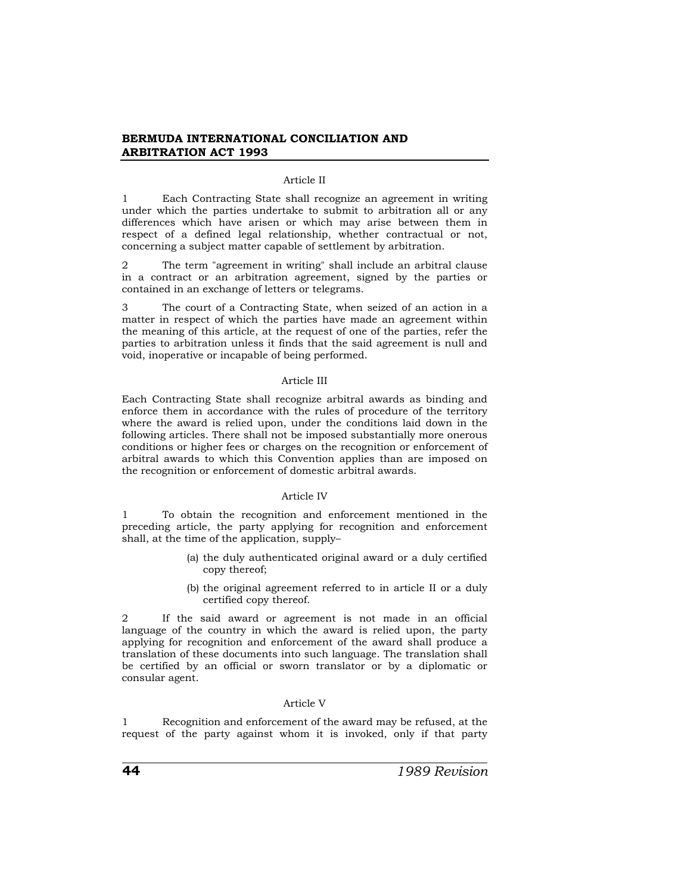## Article II

1 Each Contracting State shall recognize an agreement in writing under which the parties undertake to submit to arbitration all or any differences which have arisen or which may arise between them in respect of a defined legal relationship, whether contractual or not, concerning a subject matter capable of settlement by arbitration.

2 The term "agreement in writing" shall include an arbitral clause in a contract or an arbitration agreement, signed by the parties or contained in an exchange of letters or telegrams.

3 The court of a Contracting State, when seized of an action in a matter in respect of which the parties have made an agreement within the meaning of this article, at the request of one of the parties, refer the parties to arbitration unless it finds that the said agreement is null and void, inoperative or incapable of being performed.

#### Article III

Each Contracting State shall recognize arbitral awards as binding and enforce them in accordance with the rules of procedure of the territory where the award is relied upon, under the conditions laid down in the following articles. There shall not be imposed substantially more onerous conditions or higher fees or charges on the recognition or enforcement of arbitral awards to which this Convention applies than are imposed on the recognition or enforcement of domestic arbitral awards.

## Article IV

1 To obtain the recognition and enforcement mentioned in the preceding article, the party applying for recognition and enforcement shall, at the time of the application, supply–

- (a) the duly authenticated original award or a duly certified copy thereof;
- (b) the original agreement referred to in article II or a duly certified copy thereof.

If the said award or agreement is not made in an official language of the country in which the award is relied upon, the party applying for recognition and enforcement of the award shall produce a translation of these documents into such language. The translation shall be certified by an official or sworn translator or by a diplomatic or consular agent.

## Article V

1 Recognition and enforcement of the award may be refused, at the request of the party against whom it is invoked, only if that party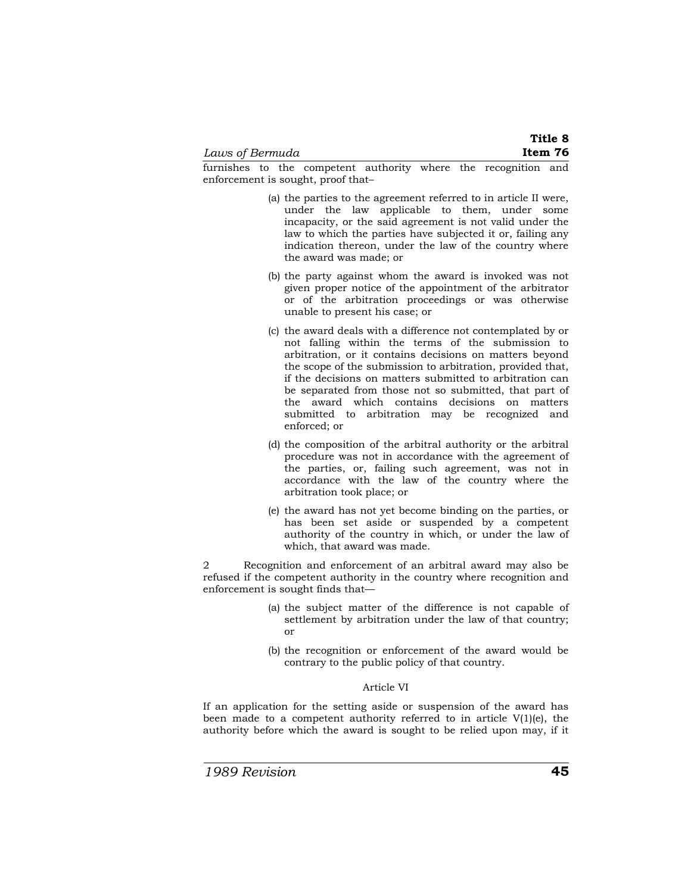furnishes to the competent authority where the recognition and enforcement is sought, proof that–

- (a) the parties to the agreement referred to in article II were, under the law applicable to them, under some incapacity, or the said agreement is not valid under the law to which the parties have subjected it or, failing any indication thereon, under the law of the country where the award was made; or
- (b) the party against whom the award is invoked was not given proper notice of the appointment of the arbitrator or of the arbitration proceedings or was otherwise unable to present his case; or
- (c) the award deals with a difference not contemplated by or not falling within the terms of the submission to arbitration, or it contains decisions on matters beyond the scope of the submission to arbitration, provided that, if the decisions on matters submitted to arbitration can be separated from those not so submitted, that part of the award which contains decisions on matters submitted to arbitration may be recognized and enforced; or
- (d) the composition of the arbitral authority or the arbitral procedure was not in accordance with the agreement of the parties, or, failing such agreement, was not in accordance with the law of the country where the arbitration took place; or
- (e) the award has not yet become binding on the parties, or has been set aside or suspended by a competent authority of the country in which, or under the law of which, that award was made.

Recognition and enforcement of an arbitral award may also be refused if the competent authority in the country where recognition and enforcement is sought finds that—

- (a) the subject matter of the difference is not capable of settlement by arbitration under the law of that country; or
- (b) the recognition or enforcement of the award would be contrary to the public policy of that country.

#### Article VI

If an application for the setting aside or suspension of the award has been made to a competent authority referred to in article  $V(1)(e)$ , the authority before which the award is sought to be relied upon may, if it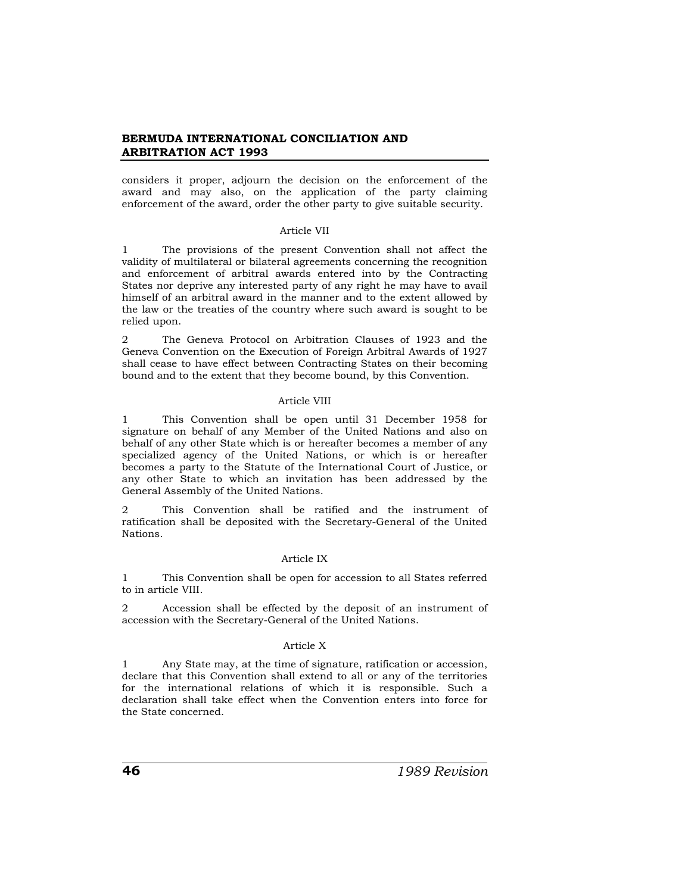considers it proper, adjourn the decision on the enforcement of the award and may also, on the application of the party claiming enforcement of the award, order the other party to give suitable security.

#### Article VII

1 The provisions of the present Convention shall not affect the validity of multilateral or bilateral agreements concerning the recognition and enforcement of arbitral awards entered into by the Contracting States nor deprive any interested party of any right he may have to avail himself of an arbitral award in the manner and to the extent allowed by the law or the treaties of the country where such award is sought to be relied upon.

2 The Geneva Protocol on Arbitration Clauses of 1923 and the Geneva Convention on the Execution of Foreign Arbitral Awards of 1927 shall cease to have effect between Contracting States on their becoming bound and to the extent that they become bound, by this Convention.

## Article VIII

1 This Convention shall be open until 31 December 1958 for signature on behalf of any Member of the United Nations and also on behalf of any other State which is or hereafter becomes a member of any specialized agency of the United Nations, or which is or hereafter becomes a party to the Statute of the International Court of Justice, or any other State to which an invitation has been addressed by the General Assembly of the United Nations.

2 This Convention shall be ratified and the instrument of ratification shall be deposited with the Secretary-General of the United Nations.

## Article IX

1 This Convention shall be open for accession to all States referred to in article VIII.

2 Accession shall be effected by the deposit of an instrument of accession with the Secretary-General of the United Nations.

#### Article X

1 Any State may, at the time of signature, ratification or accession, declare that this Convention shall extend to all or any of the territories for the international relations of which it is responsible. Such a declaration shall take effect when the Convention enters into force for the State concerned.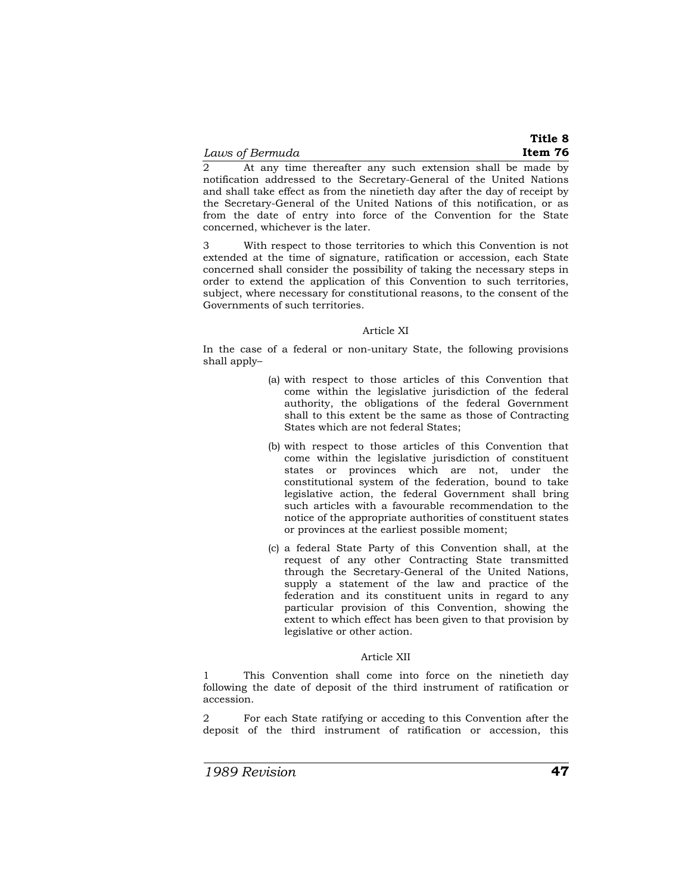|                 | ------- |
|-----------------|---------|
| Laws of Bermuda | Item 76 |

2 At any time thereafter any such extension shall be made by notification addressed to the Secretary-General of the United Nations and shall take effect as from the ninetieth day after the day of receipt by the Secretary-General of the United Nations of this notification, or as from the date of entry into force of the Convention for the State concerned, whichever is the later.

3 With respect to those territories to which this Convention is not extended at the time of signature, ratification or accession, each State concerned shall consider the possibility of taking the necessary steps in order to extend the application of this Convention to such territories, subject, where necessary for constitutional reasons, to the consent of the Governments of such territories.

## Article XI

In the case of a federal or non-unitary State, the following provisions shall apply–

- (a) with respect to those articles of this Convention that come within the legislative jurisdiction of the federal authority, the obligations of the federal Government shall to this extent be the same as those of Contracting States which are not federal States;
- (b) with respect to those articles of this Convention that come within the legislative jurisdiction of constituent states or provinces which are not, under the constitutional system of the federation, bound to take legislative action, the federal Government shall bring such articles with a favourable recommendation to the notice of the appropriate authorities of constituent states or provinces at the earliest possible moment;
- (c) a federal State Party of this Convention shall, at the request of any other Contracting State transmitted through the Secretary-General of the United Nations, supply a statement of the law and practice of the federation and its constituent units in regard to any particular provision of this Convention, showing the extent to which effect has been given to that provision by legislative or other action.

## Article XII

This Convention shall come into force on the ninetieth day following the date of deposit of the third instrument of ratification or accession.

2 For each State ratifying or acceding to this Convention after the deposit of the third instrument of ratification or accession, this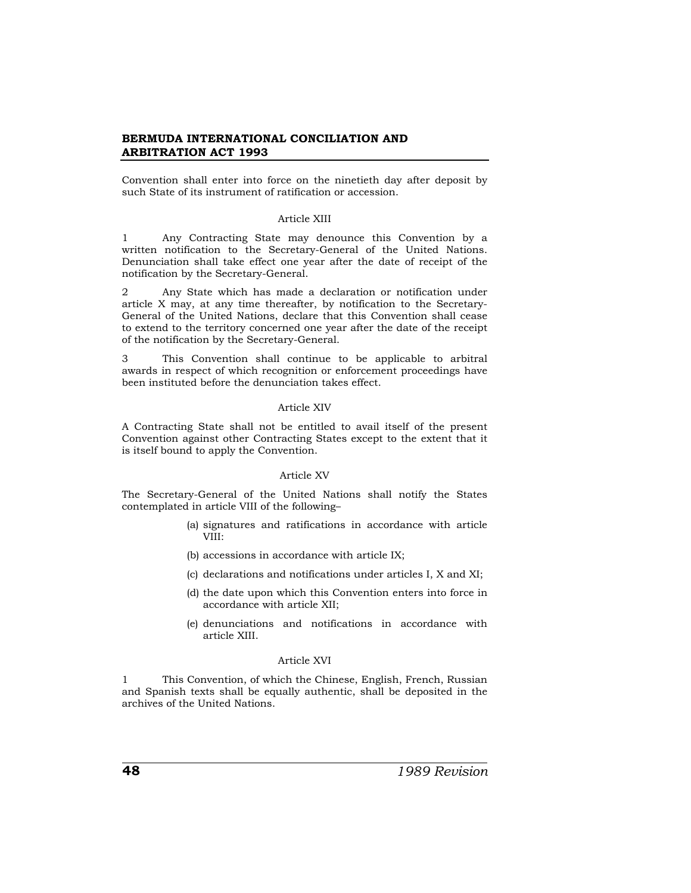Convention shall enter into force on the ninetieth day after deposit by such State of its instrument of ratification or accession.

## Article XIII

1 Any Contracting State may denounce this Convention by a written notification to the Secretary-General of the United Nations. Denunciation shall take effect one year after the date of receipt of the notification by the Secretary-General.

2 Any State which has made a declaration or notification under article X may, at any time thereafter, by notification to the Secretary-General of the United Nations, declare that this Convention shall cease to extend to the territory concerned one year after the date of the receipt of the notification by the Secretary-General.

3 This Convention shall continue to be applicable to arbitral awards in respect of which recognition or enforcement proceedings have been instituted before the denunciation takes effect.

## Article XIV

A Contracting State shall not be entitled to avail itself of the present Convention against other Contracting States except to the extent that it is itself bound to apply the Convention.

#### Article XV

The Secretary-General of the United Nations shall notify the States contemplated in article VIII of the following–

- (a) signatures and ratifications in accordance with article VIII:
- (b) accessions in accordance with article IX;
- (c) declarations and notifications under articles I, X and XI;
- (d) the date upon which this Convention enters into force in accordance with article XII;
- (e) denunciations and notifications in accordance with article XIII.

#### Article XVI

1 This Convention, of which the Chinese, English, French, Russian and Spanish texts shall be equally authentic, shall be deposited in the archives of the United Nations.